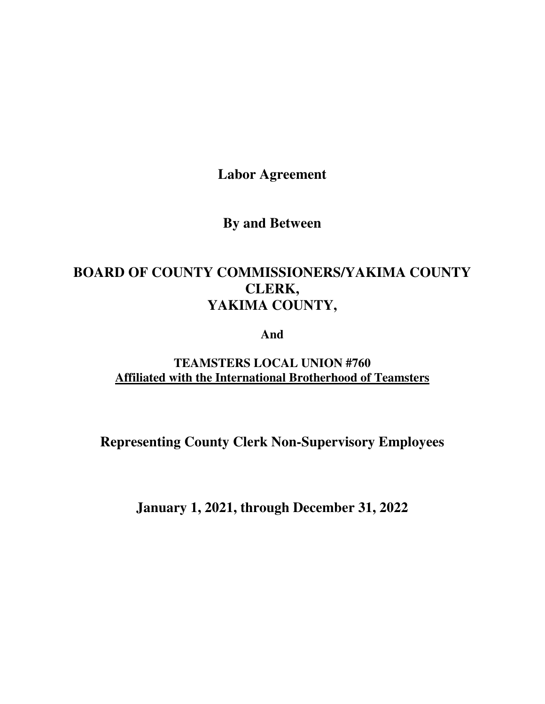**Labor Agreement** 

**By and Between** 

# **BOARD OF COUNTY COMMISSIONERS/YAKIMA COUNTY CLERK, YAKIMA COUNTY,**

**And** 

**TEAMSTERS LOCAL UNION #760 Affiliated with the International Brotherhood of Teamsters** 

**Representing County Clerk Non-Supervisory Employees**

**January 1, 2021, through December 31, 2022**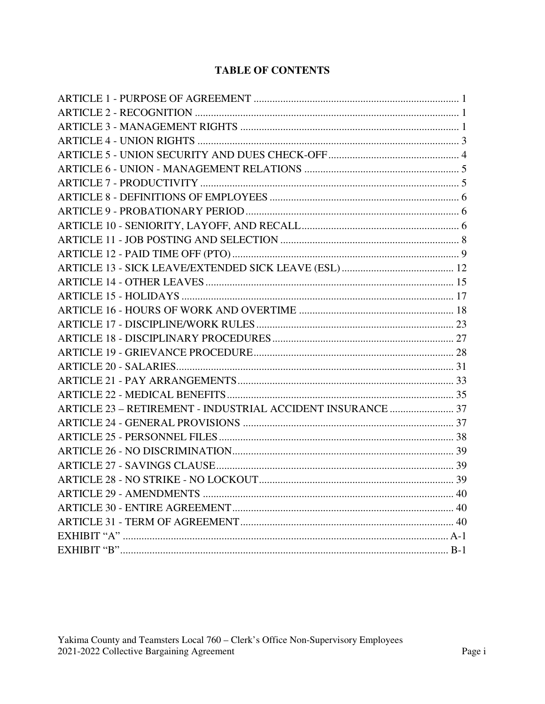# **TABLE OF CONTENTS**

| ARTICLE 23 - RETIREMENT - INDUSTRIAL ACCIDENT INSURANCE  37 |  |
|-------------------------------------------------------------|--|
|                                                             |  |
|                                                             |  |
|                                                             |  |
|                                                             |  |
|                                                             |  |
|                                                             |  |
|                                                             |  |
|                                                             |  |
|                                                             |  |
|                                                             |  |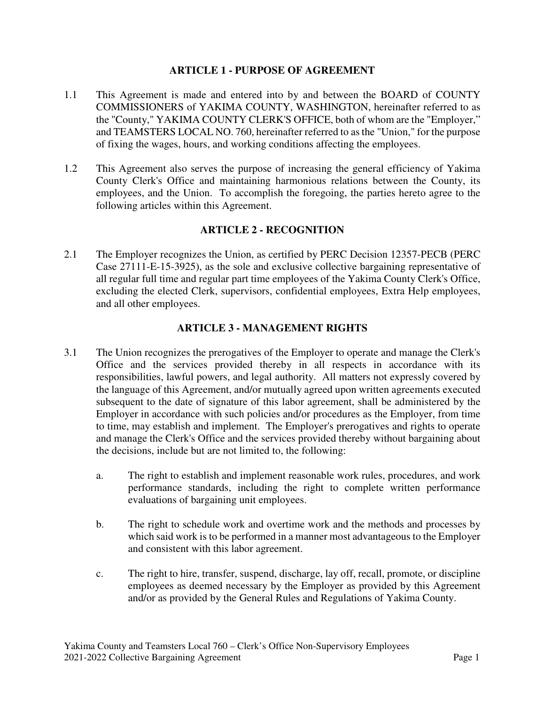#### **ARTICLE 1 - PURPOSE OF AGREEMENT**

- 1.1 This Agreement is made and entered into by and between the BOARD of COUNTY COMMISSIONERS of YAKIMA COUNTY, WASHINGTON, hereinafter referred to as the "County," YAKIMA COUNTY CLERK'S OFFICE, both of whom are the "Employer," and TEAMSTERS LOCAL NO. 760, hereinafter referred to as the "Union," for the purpose of fixing the wages, hours, and working conditions affecting the employees.
- 1.2 This Agreement also serves the purpose of increasing the general efficiency of Yakima County Clerk's Office and maintaining harmonious relations between the County, its employees, and the Union. To accomplish the foregoing, the parties hereto agree to the following articles within this Agreement.

## **ARTICLE 2 - RECOGNITION**

2.1 The Employer recognizes the Union, as certified by PERC Decision 12357-PECB (PERC Case 27111-E-15-3925), as the sole and exclusive collective bargaining representative of all regular full time and regular part time employees of the Yakima County Clerk's Office, excluding the elected Clerk, supervisors, confidential employees, Extra Help employees, and all other employees.

## **ARTICLE 3 - MANAGEMENT RIGHTS**

- 3.1 The Union recognizes the prerogatives of the Employer to operate and manage the Clerk's Office and the services provided thereby in all respects in accordance with its responsibilities, lawful powers, and legal authority. All matters not expressly covered by the language of this Agreement, and/or mutually agreed upon written agreements executed subsequent to the date of signature of this labor agreement, shall be administered by the Employer in accordance with such policies and/or procedures as the Employer, from time to time, may establish and implement. The Employer's prerogatives and rights to operate and manage the Clerk's Office and the services provided thereby without bargaining about the decisions, include but are not limited to, the following:
	- a. The right to establish and implement reasonable work rules, procedures, and work performance standards, including the right to complete written performance evaluations of bargaining unit employees.
	- b. The right to schedule work and overtime work and the methods and processes by which said work is to be performed in a manner most advantageous to the Employer and consistent with this labor agreement.
	- c. The right to hire, transfer, suspend, discharge, lay off, recall, promote, or discipline employees as deemed necessary by the Employer as provided by this Agreement and/or as provided by the General Rules and Regulations of Yakima County.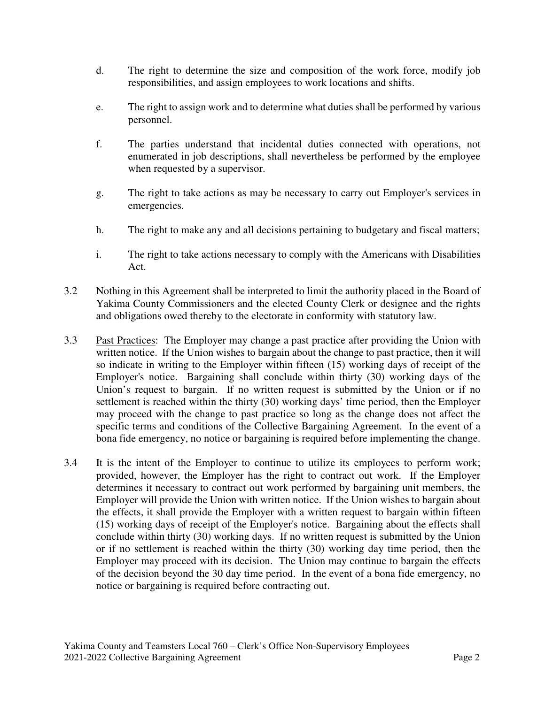- d. The right to determine the size and composition of the work force, modify job responsibilities, and assign employees to work locations and shifts.
- e. The right to assign work and to determine what duties shall be performed by various personnel.
- f. The parties understand that incidental duties connected with operations, not enumerated in job descriptions, shall nevertheless be performed by the employee when requested by a supervisor.
- g. The right to take actions as may be necessary to carry out Employer's services in emergencies.
- h. The right to make any and all decisions pertaining to budgetary and fiscal matters;
- i. The right to take actions necessary to comply with the Americans with Disabilities Act.
- 3.2 Nothing in this Agreement shall be interpreted to limit the authority placed in the Board of Yakima County Commissioners and the elected County Clerk or designee and the rights and obligations owed thereby to the electorate in conformity with statutory law.
- 3.3 Past Practices: The Employer may change a past practice after providing the Union with written notice. If the Union wishes to bargain about the change to past practice, then it will so indicate in writing to the Employer within fifteen (15) working days of receipt of the Employer's notice. Bargaining shall conclude within thirty (30) working days of the Union's request to bargain. If no written request is submitted by the Union or if no settlement is reached within the thirty (30) working days' time period, then the Employer may proceed with the change to past practice so long as the change does not affect the specific terms and conditions of the Collective Bargaining Agreement. In the event of a bona fide emergency, no notice or bargaining is required before implementing the change.
- 3.4 It is the intent of the Employer to continue to utilize its employees to perform work; provided, however, the Employer has the right to contract out work. If the Employer determines it necessary to contract out work performed by bargaining unit members, the Employer will provide the Union with written notice. If the Union wishes to bargain about the effects, it shall provide the Employer with a written request to bargain within fifteen (15) working days of receipt of the Employer's notice. Bargaining about the effects shall conclude within thirty (30) working days. If no written request is submitted by the Union or if no settlement is reached within the thirty (30) working day time period, then the Employer may proceed with its decision. The Union may continue to bargain the effects of the decision beyond the 30 day time period. In the event of a bona fide emergency, no notice or bargaining is required before contracting out.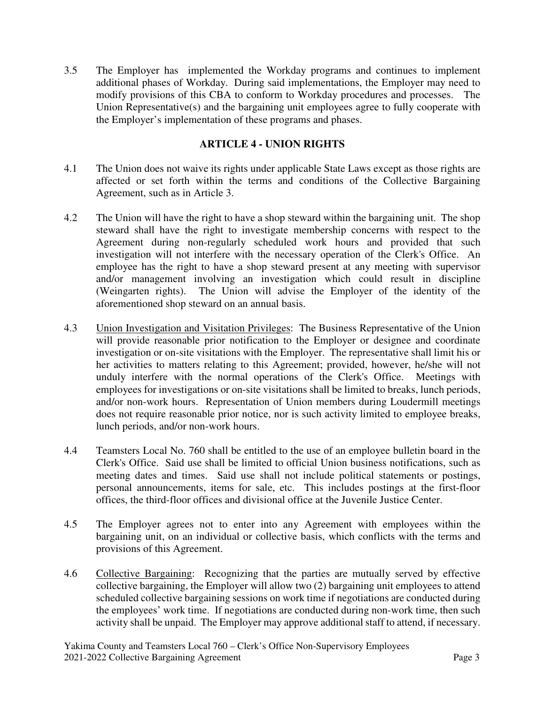3.5 The Employer has implemented the Workday programs and continues to implement additional phases of Workday. During said implementations, the Employer may need to modify provisions of this CBA to conform to Workday procedures and processes. The Union Representative(s) and the bargaining unit employees agree to fully cooperate with the Employer's implementation of these programs and phases.

## **ARTICLE 4 - UNION RIGHTS**

- 4.1 The Union does not waive its rights under applicable State Laws except as those rights are affected or set forth within the terms and conditions of the Collective Bargaining Agreement, such as in Article 3.
- 4.2 The Union will have the right to have a shop steward within the bargaining unit. The shop steward shall have the right to investigate membership concerns with respect to the Agreement during non-regularly scheduled work hours and provided that such investigation will not interfere with the necessary operation of the Clerk's Office. An employee has the right to have a shop steward present at any meeting with supervisor and/or management involving an investigation which could result in discipline (Weingarten rights). The Union will advise the Employer of the identity of the aforementioned shop steward on an annual basis.
- 4.3 Union Investigation and Visitation Privileges: The Business Representative of the Union will provide reasonable prior notification to the Employer or designee and coordinate investigation or on-site visitations with the Employer. The representative shall limit his or her activities to matters relating to this Agreement; provided, however, he/she will not unduly interfere with the normal operations of the Clerk's Office. Meetings with employees for investigations or on-site visitations shall be limited to breaks, lunch periods, and/or non-work hours. Representation of Union members during Loudermill meetings does not require reasonable prior notice, nor is such activity limited to employee breaks, lunch periods, and/or non-work hours.
- 4.4 Teamsters Local No. 760 shall be entitled to the use of an employee bulletin board in the Clerk's Office. Said use shall be limited to official Union business notifications, such as meeting dates and times. Said use shall not include political statements or postings, personal announcements, items for sale, etc. This includes postings at the first-floor offices, the third-floor offices and divisional office at the Juvenile Justice Center.
- 4.5 The Employer agrees not to enter into any Agreement with employees within the bargaining unit, on an individual or collective basis, which conflicts with the terms and provisions of this Agreement.
- 4.6 Collective Bargaining: Recognizing that the parties are mutually served by effective collective bargaining, the Employer will allow two (2) bargaining unit employees to attend scheduled collective bargaining sessions on work time if negotiations are conducted during the employees' work time. If negotiations are conducted during non-work time, then such activity shall be unpaid. The Employer may approve additional staff to attend, if necessary.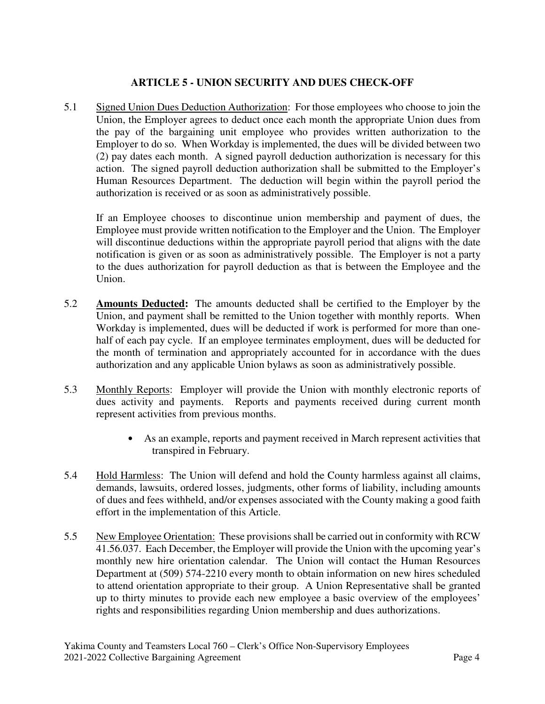# **ARTICLE 5 - UNION SECURITY AND DUES CHECK-OFF**

5.1 Signed Union Dues Deduction Authorization: For those employees who choose to join the Union, the Employer agrees to deduct once each month the appropriate Union dues from the pay of the bargaining unit employee who provides written authorization to the Employer to do so. When Workday is implemented, the dues will be divided between two (2) pay dates each month. A signed payroll deduction authorization is necessary for this action. The signed payroll deduction authorization shall be submitted to the Employer's Human Resources Department. The deduction will begin within the payroll period the authorization is received or as soon as administratively possible.

If an Employee chooses to discontinue union membership and payment of dues, the Employee must provide written notification to the Employer and the Union. The Employer will discontinue deductions within the appropriate payroll period that aligns with the date notification is given or as soon as administratively possible. The Employer is not a party to the dues authorization for payroll deduction as that is between the Employee and the Union.

- 5.2 **Amounts Deducted:** The amounts deducted shall be certified to the Employer by the Union, and payment shall be remitted to the Union together with monthly reports. When Workday is implemented, dues will be deducted if work is performed for more than onehalf of each pay cycle. If an employee terminates employment, dues will be deducted for the month of termination and appropriately accounted for in accordance with the dues authorization and any applicable Union bylaws as soon as administratively possible.
- 5.3 Monthly Reports: Employer will provide the Union with monthly electronic reports of dues activity and payments. Reports and payments received during current month represent activities from previous months.
	- As an example, reports and payment received in March represent activities that transpired in February.
- 5.4 Hold Harmless: The Union will defend and hold the County harmless against all claims, demands, lawsuits, ordered losses, judgments, other forms of liability, including amounts of dues and fees withheld, and/or expenses associated with the County making a good faith effort in the implementation of this Article.
- 5.5 New Employee Orientation: These provisions shall be carried out in conformity with RCW 41.56.037. Each December, the Employer will provide the Union with the upcoming year's monthly new hire orientation calendar. The Union will contact the Human Resources Department at (509) 574-2210 every month to obtain information on new hires scheduled to attend orientation appropriate to their group. A Union Representative shall be granted up to thirty minutes to provide each new employee a basic overview of the employees' rights and responsibilities regarding Union membership and dues authorizations.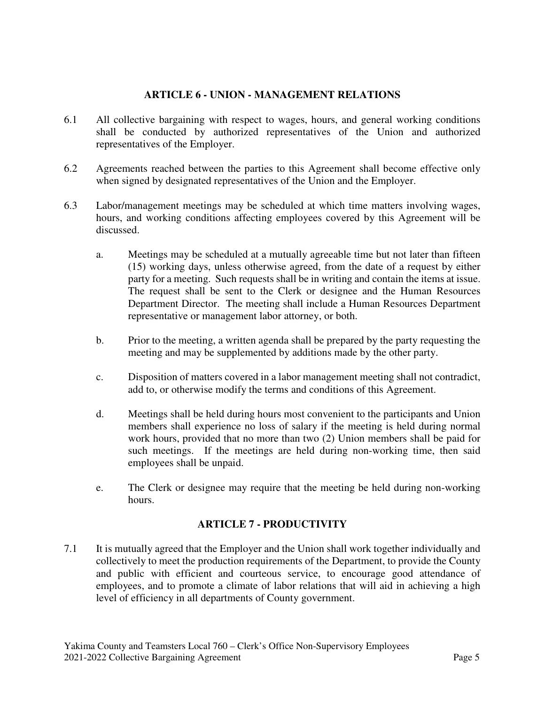## **ARTICLE 6 - UNION - MANAGEMENT RELATIONS**

- 6.1 All collective bargaining with respect to wages, hours, and general working conditions shall be conducted by authorized representatives of the Union and authorized representatives of the Employer.
- 6.2 Agreements reached between the parties to this Agreement shall become effective only when signed by designated representatives of the Union and the Employer.
- 6.3 Labor/management meetings may be scheduled at which time matters involving wages, hours, and working conditions affecting employees covered by this Agreement will be discussed.
	- a. Meetings may be scheduled at a mutually agreeable time but not later than fifteen (15) working days, unless otherwise agreed, from the date of a request by either party for a meeting. Such requests shall be in writing and contain the items at issue. The request shall be sent to the Clerk or designee and the Human Resources Department Director. The meeting shall include a Human Resources Department representative or management labor attorney, or both.
	- b. Prior to the meeting, a written agenda shall be prepared by the party requesting the meeting and may be supplemented by additions made by the other party.
	- c. Disposition of matters covered in a labor management meeting shall not contradict, add to, or otherwise modify the terms and conditions of this Agreement.
	- d. Meetings shall be held during hours most convenient to the participants and Union members shall experience no loss of salary if the meeting is held during normal work hours, provided that no more than two (2) Union members shall be paid for such meetings. If the meetings are held during non-working time, then said employees shall be unpaid.
	- e. The Clerk or designee may require that the meeting be held during non-working hours.

## **ARTICLE 7 - PRODUCTIVITY**

7.1 It is mutually agreed that the Employer and the Union shall work together individually and collectively to meet the production requirements of the Department, to provide the County and public with efficient and courteous service, to encourage good attendance of employees, and to promote a climate of labor relations that will aid in achieving a high level of efficiency in all departments of County government.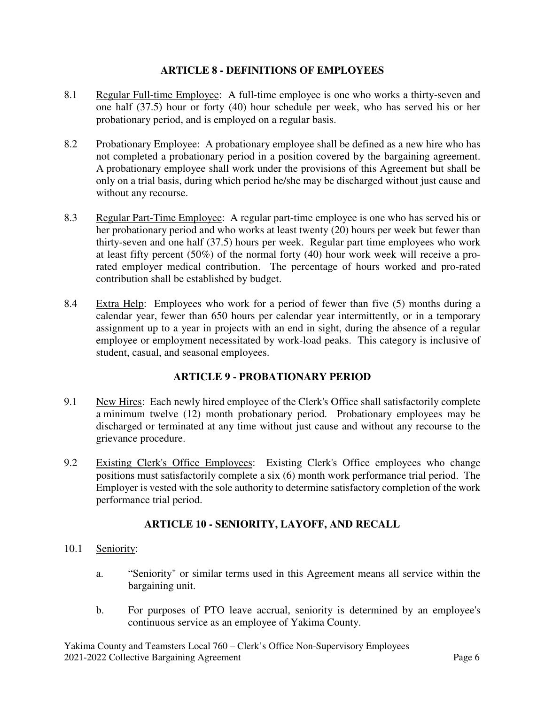#### **ARTICLE 8 - DEFINITIONS OF EMPLOYEES**

- 8.1 Regular Full-time Employee: A full-time employee is one who works a thirty-seven and one half (37.5) hour or forty (40) hour schedule per week, who has served his or her probationary period, and is employed on a regular basis.
- 8.2 Probationary Employee: A probationary employee shall be defined as a new hire who has not completed a probationary period in a position covered by the bargaining agreement. A probationary employee shall work under the provisions of this Agreement but shall be only on a trial basis, during which period he/she may be discharged without just cause and without any recourse.
- 8.3 Regular Part-Time Employee: A regular part-time employee is one who has served his or her probationary period and who works at least twenty (20) hours per week but fewer than thirty-seven and one half (37.5) hours per week. Regular part time employees who work at least fifty percent (50%) of the normal forty (40) hour work week will receive a prorated employer medical contribution. The percentage of hours worked and pro-rated contribution shall be established by budget.
- 8.4 Extra Help: Employees who work for a period of fewer than five (5) months during a calendar year, fewer than 650 hours per calendar year intermittently, or in a temporary assignment up to a year in projects with an end in sight, during the absence of a regular employee or employment necessitated by work-load peaks. This category is inclusive of student, casual, and seasonal employees.

## **ARTICLE 9 - PROBATIONARY PERIOD**

- 9.1 New Hires: Each newly hired employee of the Clerk's Office shall satisfactorily complete a minimum twelve (12) month probationary period. Probationary employees may be discharged or terminated at any time without just cause and without any recourse to the grievance procedure.
- 9.2 Existing Clerk's Office Employees: Existing Clerk's Office employees who change positions must satisfactorily complete a six (6) month work performance trial period. The Employer is vested with the sole authority to determine satisfactory completion of the work performance trial period.

## **ARTICLE 10 - SENIORITY, LAYOFF, AND RECALL**

- 10.1 Seniority:
	- a. "Seniority" or similar terms used in this Agreement means all service within the bargaining unit.
	- b. For purposes of PTO leave accrual, seniority is determined by an employee's continuous service as an employee of Yakima County.

Yakima County and Teamsters Local 760 – Clerk's Office Non-Supervisory Employees 2021-2022 Collective Bargaining Agreement Page 6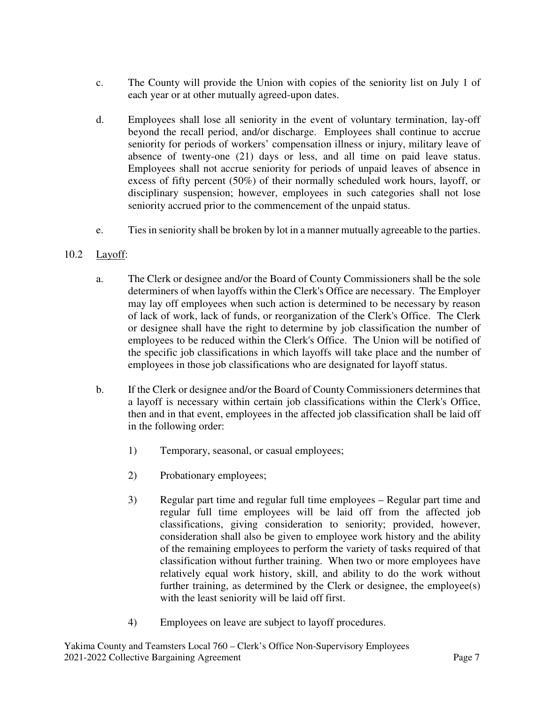- c. The County will provide the Union with copies of the seniority list on July 1 of each year or at other mutually agreed-upon dates.
- d. Employees shall lose all seniority in the event of voluntary termination, lay-off beyond the recall period, and/or discharge. Employees shall continue to accrue seniority for periods of workers' compensation illness or injury, military leave of absence of twenty-one (21) days or less, and all time on paid leave status. Employees shall not accrue seniority for periods of unpaid leaves of absence in excess of fifty percent (50%) of their normally scheduled work hours, layoff, or disciplinary suspension; however, employees in such categories shall not lose seniority accrued prior to the commencement of the unpaid status.
- e. Ties in seniority shall be broken by lot in a manner mutually agreeable to the parties.

## 10.2 Layoff:

- a. The Clerk or designee and/or the Board of County Commissioners shall be the sole determiners of when layoffs within the Clerk's Office are necessary. The Employer may lay off employees when such action is determined to be necessary by reason of lack of work, lack of funds, or reorganization of the Clerk's Office. The Clerk or designee shall have the right to determine by job classification the number of employees to be reduced within the Clerk's Office. The Union will be notified of the specific job classifications in which layoffs will take place and the number of employees in those job classifications who are designated for layoff status.
- b. If the Clerk or designee and/or the Board of County Commissioners determines that a layoff is necessary within certain job classifications within the Clerk's Office, then and in that event, employees in the affected job classification shall be laid off in the following order:
	- 1) Temporary, seasonal, or casual employees;
	- 2) Probationary employees;
	- 3) Regular part time and regular full time employees Regular part time and regular full time employees will be laid off from the affected job classifications, giving consideration to seniority; provided, however, consideration shall also be given to employee work history and the ability of the remaining employees to perform the variety of tasks required of that classification without further training. When two or more employees have relatively equal work history, skill, and ability to do the work without further training, as determined by the Clerk or designee, the employee(s) with the least seniority will be laid off first.
	- 4) Employees on leave are subject to layoff procedures.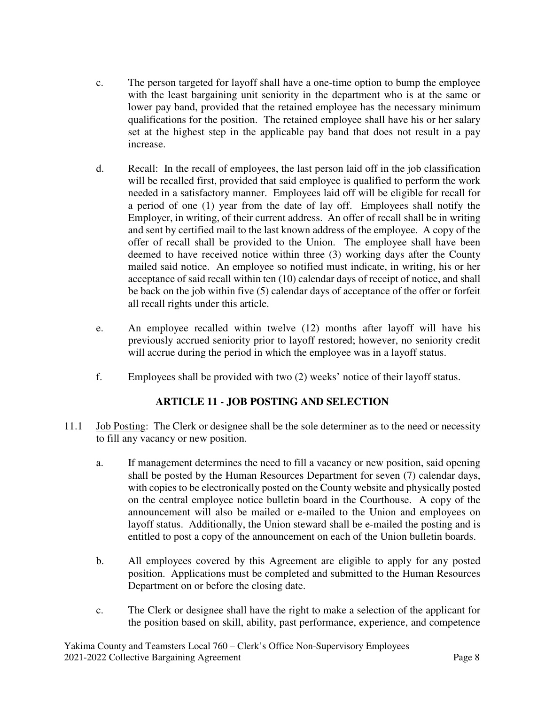- c. The person targeted for layoff shall have a one-time option to bump the employee with the least bargaining unit seniority in the department who is at the same or lower pay band, provided that the retained employee has the necessary minimum qualifications for the position. The retained employee shall have his or her salary set at the highest step in the applicable pay band that does not result in a pay increase.
- d. Recall: In the recall of employees, the last person laid off in the job classification will be recalled first, provided that said employee is qualified to perform the work needed in a satisfactory manner. Employees laid off will be eligible for recall for a period of one (1) year from the date of lay off. Employees shall notify the Employer, in writing, of their current address. An offer of recall shall be in writing and sent by certified mail to the last known address of the employee. A copy of the offer of recall shall be provided to the Union. The employee shall have been deemed to have received notice within three (3) working days after the County mailed said notice. An employee so notified must indicate, in writing, his or her acceptance of said recall within ten (10) calendar days of receipt of notice, and shall be back on the job within five (5) calendar days of acceptance of the offer or forfeit all recall rights under this article.
- e. An employee recalled within twelve (12) months after layoff will have his previously accrued seniority prior to layoff restored; however, no seniority credit will accrue during the period in which the employee was in a layoff status.
- f. Employees shall be provided with two (2) weeks' notice of their layoff status.

# **ARTICLE 11 - JOB POSTING AND SELECTION**

- 11.1 Job Posting: The Clerk or designee shall be the sole determiner as to the need or necessity to fill any vacancy or new position.
	- a. If management determines the need to fill a vacancy or new position, said opening shall be posted by the Human Resources Department for seven (7) calendar days, with copies to be electronically posted on the County website and physically posted on the central employee notice bulletin board in the Courthouse. A copy of the announcement will also be mailed or e-mailed to the Union and employees on layoff status. Additionally, the Union steward shall be e-mailed the posting and is entitled to post a copy of the announcement on each of the Union bulletin boards.
	- b. All employees covered by this Agreement are eligible to apply for any posted position. Applications must be completed and submitted to the Human Resources Department on or before the closing date.
	- c. The Clerk or designee shall have the right to make a selection of the applicant for the position based on skill, ability, past performance, experience, and competence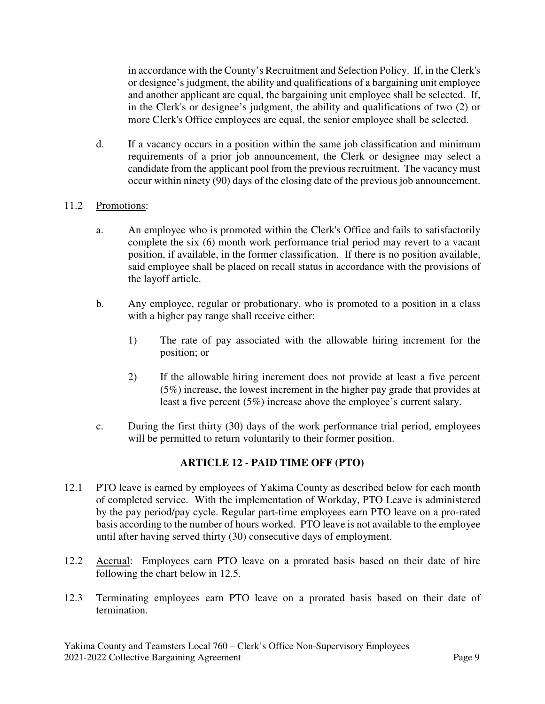in accordance with the County's Recruitment and Selection Policy. If, in the Clerk's or designee's judgment, the ability and qualifications of a bargaining unit employee and another applicant are equal, the bargaining unit employee shall be selected. If, in the Clerk's or designee's judgment, the ability and qualifications of two (2) or more Clerk's Office employees are equal, the senior employee shall be selected.

d. If a vacancy occurs in a position within the same job classification and minimum requirements of a prior job announcement, the Clerk or designee may select a candidate from the applicant pool from the previous recruitment. The vacancy must occur within ninety (90) days of the closing date of the previous job announcement.

## 11.2 Promotions:

- a. An employee who is promoted within the Clerk's Office and fails to satisfactorily complete the six (6) month work performance trial period may revert to a vacant position, if available, in the former classification. If there is no position available, said employee shall be placed on recall status in accordance with the provisions of the layoff article.
- b. Any employee, regular or probationary, who is promoted to a position in a class with a higher pay range shall receive either:
	- 1) The rate of pay associated with the allowable hiring increment for the position; or
	- 2) If the allowable hiring increment does not provide at least a five percent (5%) increase, the lowest increment in the higher pay grade that provides at least a five percent (5%) increase above the employee's current salary.
- c. During the first thirty (30) days of the work performance trial period, employees will be permitted to return voluntarily to their former position.

# **ARTICLE 12 - PAID TIME OFF (PTO)**

- 12.1 PTO leave is earned by employees of Yakima County as described below for each month of completed service. With the implementation of Workday, PTO Leave is administered by the pay period/pay cycle. Regular part-time employees earn PTO leave on a pro-rated basis according to the number of hours worked. PTO leave is not available to the employee until after having served thirty (30) consecutive days of employment.
- 12.2 Accrual: Employees earn PTO leave on a prorated basis based on their date of hire following the chart below in 12.5.
- 12.3 Terminating employees earn PTO leave on a prorated basis based on their date of termination.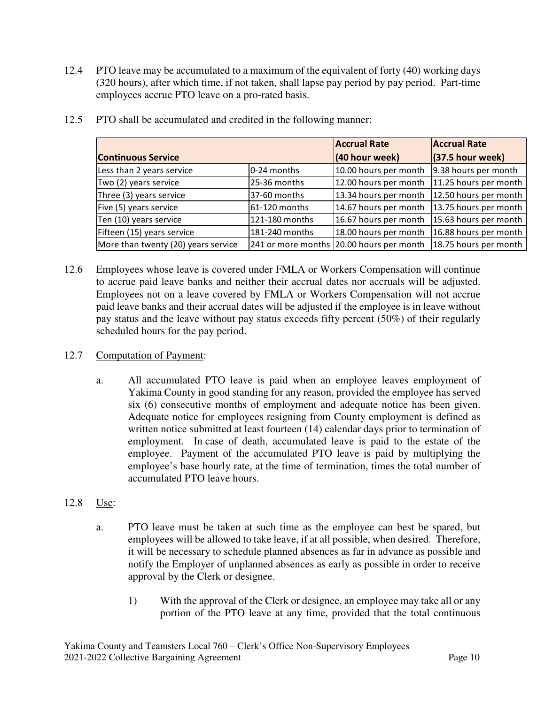12.4 PTO leave may be accumulated to a maximum of the equivalent of forty (40) working days (320 hours), after which time, if not taken, shall lapse pay period by pay period. Part-time employees accrue PTO leave on a pro-rated basis.

|                                     |                | <b>Accrual Rate</b>                      | <b>Accrual Rate</b>   |
|-------------------------------------|----------------|------------------------------------------|-----------------------|
| <b>Continuous Service</b>           |                | (40 hour week)                           | $(37.5$ hour week)    |
| Less than 2 years service           | 0-24 months    | 10.00 hours per month                    | 9.38 hours per month  |
| Two (2) years service               | 25-36 months   | 12.00 hours per month                    | 11.25 hours per month |
| Three (3) years service             | 37-60 months   | 13.34 hours per month                    | 12.50 hours per month |
| Five (5) years service              | 61-120 months  | 14.67 hours per month                    | 13.75 hours per month |
| Ten (10) years service              | 121-180 months | 16.67 hours per month                    | 15.63 hours per month |
| Fifteen (15) years service          | 181-240 months | 18.00 hours per month                    | 16.88 hours per month |
| More than twenty (20) years service |                | 241 or more months 20.00 hours per month | 18.75 hours per month |

12.5 PTO shall be accumulated and credited in the following manner:

12.6 Employees whose leave is covered under FMLA or Workers Compensation will continue to accrue paid leave banks and neither their accrual dates nor accruals will be adjusted. Employees not on a leave covered by FMLA or Workers Compensation will not accrue paid leave banks and their accrual dates will be adjusted if the employee is in leave without pay status and the leave without pay status exceeds fifty percent (50%) of their regularly scheduled hours for the pay period.

## 12.7 Computation of Payment:

a. All accumulated PTO leave is paid when an employee leaves employment of Yakima County in good standing for any reason, provided the employee has served six (6) consecutive months of employment and adequate notice has been given. Adequate notice for employees resigning from County employment is defined as written notice submitted at least fourteen (14) calendar days prior to termination of employment. In case of death, accumulated leave is paid to the estate of the employee. Payment of the accumulated PTO leave is paid by multiplying the employee's base hourly rate, at the time of termination, times the total number of accumulated PTO leave hours.

# 12.8 Use:

- a. PTO leave must be taken at such time as the employee can best be spared, but employees will be allowed to take leave, if at all possible, when desired. Therefore, it will be necessary to schedule planned absences as far in advance as possible and notify the Employer of unplanned absences as early as possible in order to receive approval by the Clerk or designee.
	- 1) With the approval of the Clerk or designee, an employee may take all or any portion of the PTO leave at any time, provided that the total continuous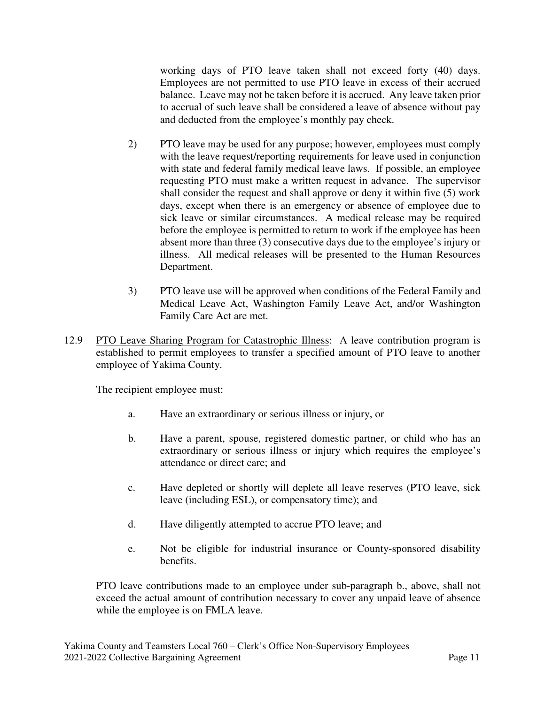working days of PTO leave taken shall not exceed forty (40) days. Employees are not permitted to use PTO leave in excess of their accrued balance. Leave may not be taken before it is accrued. Any leave taken prior to accrual of such leave shall be considered a leave of absence without pay and deducted from the employee's monthly pay check.

- 2) PTO leave may be used for any purpose; however, employees must comply with the leave request/reporting requirements for leave used in conjunction with state and federal family medical leave laws. If possible, an employee requesting PTO must make a written request in advance. The supervisor shall consider the request and shall approve or deny it within five (5) work days, except when there is an emergency or absence of employee due to sick leave or similar circumstances. A medical release may be required before the employee is permitted to return to work if the employee has been absent more than three (3) consecutive days due to the employee's injury or illness. All medical releases will be presented to the Human Resources Department.
- 3) PTO leave use will be approved when conditions of the Federal Family and Medical Leave Act, Washington Family Leave Act, and/or Washington Family Care Act are met.
- 12.9 PTO Leave Sharing Program for Catastrophic Illness: A leave contribution program is established to permit employees to transfer a specified amount of PTO leave to another employee of Yakima County.

The recipient employee must:

- a. Have an extraordinary or serious illness or injury, or
- b. Have a parent, spouse, registered domestic partner, or child who has an extraordinary or serious illness or injury which requires the employee's attendance or direct care; and
- c. Have depleted or shortly will deplete all leave reserves (PTO leave, sick leave (including ESL), or compensatory time); and
- d. Have diligently attempted to accrue PTO leave; and
- e. Not be eligible for industrial insurance or County-sponsored disability benefits.

PTO leave contributions made to an employee under sub-paragraph b., above, shall not exceed the actual amount of contribution necessary to cover any unpaid leave of absence while the employee is on FMLA leave.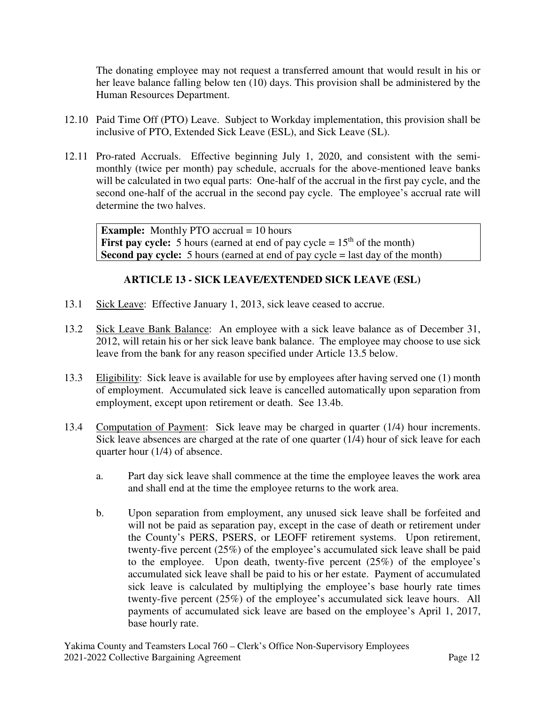The donating employee may not request a transferred amount that would result in his or her leave balance falling below ten (10) days. This provision shall be administered by the Human Resources Department.

- 12.10 Paid Time Off (PTO) Leave. Subject to Workday implementation, this provision shall be inclusive of PTO, Extended Sick Leave (ESL), and Sick Leave (SL).
- 12.11 Pro-rated Accruals. Effective beginning July 1, 2020, and consistent with the semimonthly (twice per month) pay schedule, accruals for the above-mentioned leave banks will be calculated in two equal parts: One-half of the accrual in the first pay cycle, and the second one-half of the accrual in the second pay cycle. The employee's accrual rate will determine the two halves.

**Example:** Monthly PTO accrual = 10 hours **First pay cycle:** 5 hours (earned at end of pay cycle  $= 15<sup>th</sup>$  of the month) **Second pay cycle:** 5 hours (earned at end of pay cycle = last day of the month)

## **ARTICLE 13 - SICK LEAVE/EXTENDED SICK LEAVE (ESL)**

- 13.1 Sick Leave: Effective January 1, 2013, sick leave ceased to accrue.
- 13.2 Sick Leave Bank Balance: An employee with a sick leave balance as of December 31, 2012, will retain his or her sick leave bank balance. The employee may choose to use sick leave from the bank for any reason specified under Article 13.5 below.
- 13.3 Eligibility: Sick leave is available for use by employees after having served one (1) month of employment. Accumulated sick leave is cancelled automatically upon separation from employment, except upon retirement or death. See 13.4b.
- 13.4 Computation of Payment: Sick leave may be charged in quarter (1/4) hour increments. Sick leave absences are charged at the rate of one quarter (1/4) hour of sick leave for each quarter hour (1/4) of absence.
	- a. Part day sick leave shall commence at the time the employee leaves the work area and shall end at the time the employee returns to the work area.
	- b. Upon separation from employment, any unused sick leave shall be forfeited and will not be paid as separation pay, except in the case of death or retirement under the County's PERS, PSERS, or LEOFF retirement systems. Upon retirement, twenty-five percent (25%) of the employee's accumulated sick leave shall be paid to the employee. Upon death, twenty-five percent (25%) of the employee's accumulated sick leave shall be paid to his or her estate. Payment of accumulated sick leave is calculated by multiplying the employee's base hourly rate times twenty-five percent (25%) of the employee's accumulated sick leave hours. All payments of accumulated sick leave are based on the employee's April 1, 2017, base hourly rate.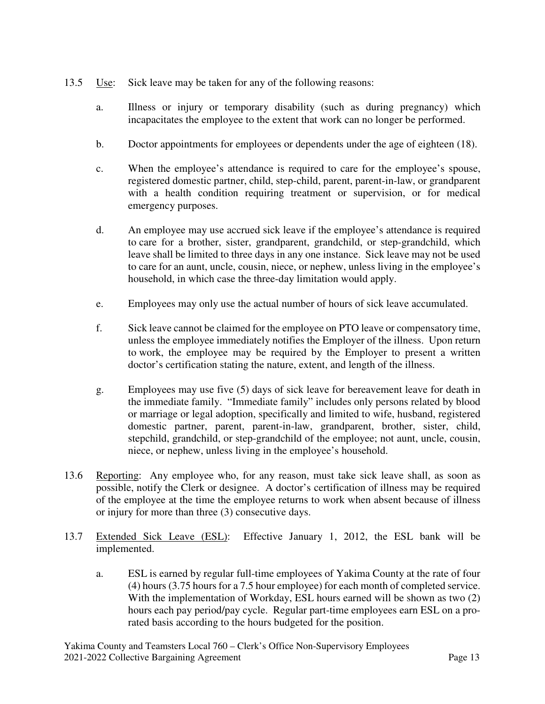- 13.5 Use: Sick leave may be taken for any of the following reasons:
	- a. Illness or injury or temporary disability (such as during pregnancy) which incapacitates the employee to the extent that work can no longer be performed.
	- b. Doctor appointments for employees or dependents under the age of eighteen (18).
	- c. When the employee's attendance is required to care for the employee's spouse, registered domestic partner, child, step-child, parent, parent-in-law, or grandparent with a health condition requiring treatment or supervision, or for medical emergency purposes.
	- d. An employee may use accrued sick leave if the employee's attendance is required to care for a brother, sister, grandparent, grandchild, or step-grandchild, which leave shall be limited to three days in any one instance. Sick leave may not be used to care for an aunt, uncle, cousin, niece, or nephew, unless living in the employee's household, in which case the three-day limitation would apply.
	- e. Employees may only use the actual number of hours of sick leave accumulated.
	- f. Sick leave cannot be claimed for the employee on PTO leave or compensatory time, unless the employee immediately notifies the Employer of the illness. Upon return to work, the employee may be required by the Employer to present a written doctor's certification stating the nature, extent, and length of the illness.
	- g. Employees may use five (5) days of sick leave for bereavement leave for death in the immediate family. "Immediate family" includes only persons related by blood or marriage or legal adoption, specifically and limited to wife, husband, registered domestic partner, parent, parent-in-law, grandparent, brother, sister, child, stepchild, grandchild, or step-grandchild of the employee; not aunt, uncle, cousin, niece, or nephew, unless living in the employee's household.
- 13.6 Reporting: Any employee who, for any reason, must take sick leave shall, as soon as possible, notify the Clerk or designee. A doctor's certification of illness may be required of the employee at the time the employee returns to work when absent because of illness or injury for more than three (3) consecutive days.
- 13.7 Extended Sick Leave (ESL): Effective January 1, 2012, the ESL bank will be implemented.
	- a. ESL is earned by regular full-time employees of Yakima County at the rate of four (4) hours (3.75 hours for a 7.5 hour employee) for each month of completed service. With the implementation of Workday, ESL hours earned will be shown as two (2) hours each pay period/pay cycle. Regular part-time employees earn ESL on a prorated basis according to the hours budgeted for the position.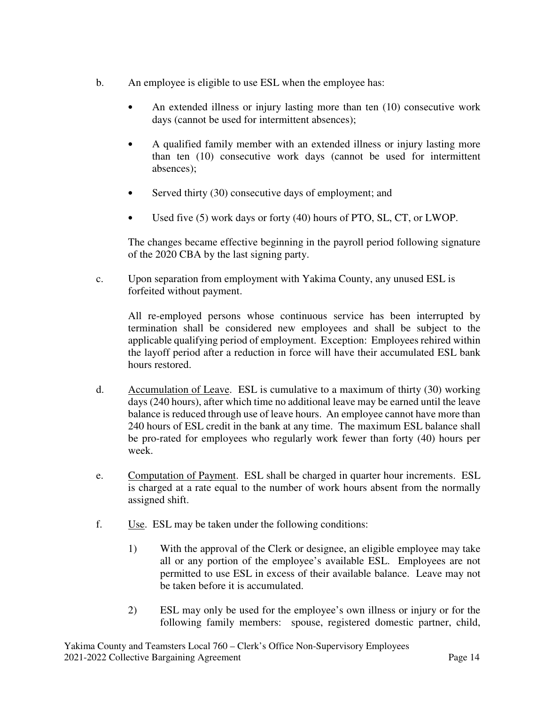- b. An employee is eligible to use ESL when the employee has:
	- An extended illness or injury lasting more than ten (10) consecutive work days (cannot be used for intermittent absences);
	- A qualified family member with an extended illness or injury lasting more than ten (10) consecutive work days (cannot be used for intermittent absences);
	- Served thirty (30) consecutive days of employment; and
	- Used five (5) work days or forty (40) hours of PTO, SL, CT, or LWOP.

The changes became effective beginning in the payroll period following signature of the 2020 CBA by the last signing party.

c. Upon separation from employment with Yakima County, any unused ESL is forfeited without payment.

All re-employed persons whose continuous service has been interrupted by termination shall be considered new employees and shall be subject to the applicable qualifying period of employment. Exception: Employees rehired within the layoff period after a reduction in force will have their accumulated ESL bank hours restored.

- d. Accumulation of Leave. ESL is cumulative to a maximum of thirty (30) working days (240 hours), after which time no additional leave may be earned until the leave balance is reduced through use of leave hours. An employee cannot have more than 240 hours of ESL credit in the bank at any time. The maximum ESL balance shall be pro-rated for employees who regularly work fewer than forty (40) hours per week.
- e. Computation of Payment. ESL shall be charged in quarter hour increments. ESL is charged at a rate equal to the number of work hours absent from the normally assigned shift.
- f. Use. ESL may be taken under the following conditions:
	- 1) With the approval of the Clerk or designee, an eligible employee may take all or any portion of the employee's available ESL. Employees are not permitted to use ESL in excess of their available balance. Leave may not be taken before it is accumulated.
	- 2) ESL may only be used for the employee's own illness or injury or for the following family members: spouse, registered domestic partner, child,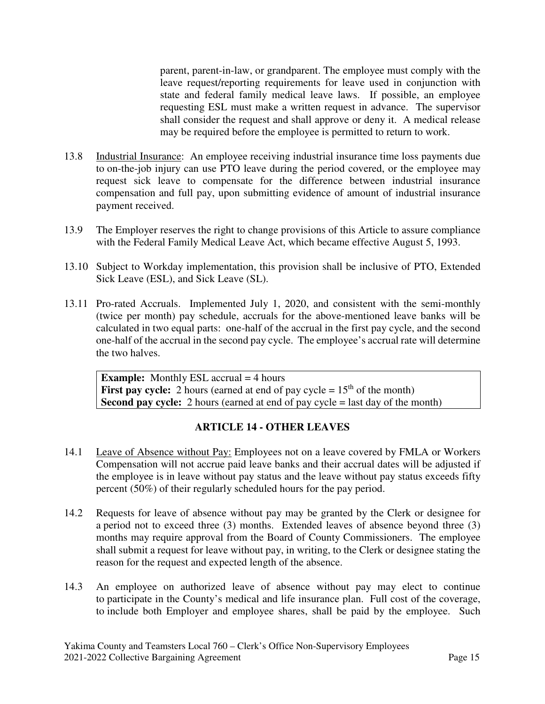parent, parent-in-law, or grandparent. The employee must comply with the leave request/reporting requirements for leave used in conjunction with state and federal family medical leave laws. If possible, an employee requesting ESL must make a written request in advance. The supervisor shall consider the request and shall approve or deny it. A medical release may be required before the employee is permitted to return to work.

- 13.8 Industrial Insurance: An employee receiving industrial insurance time loss payments due to on-the-job injury can use PTO leave during the period covered, or the employee may request sick leave to compensate for the difference between industrial insurance compensation and full pay, upon submitting evidence of amount of industrial insurance payment received.
- 13.9 The Employer reserves the right to change provisions of this Article to assure compliance with the Federal Family Medical Leave Act, which became effective August 5, 1993.
- 13.10 Subject to Workday implementation, this provision shall be inclusive of PTO, Extended Sick Leave (ESL), and Sick Leave (SL).
- 13.11 Pro-rated Accruals. Implemented July 1, 2020, and consistent with the semi-monthly (twice per month) pay schedule, accruals for the above-mentioned leave banks will be calculated in two equal parts: one-half of the accrual in the first pay cycle, and the second one-half of the accrual in the second pay cycle. The employee's accrual rate will determine the two halves.

**Example:** Monthly ESL accrual = 4 hours **First pay cycle:** 2 hours (earned at end of pay cycle  $= 15<sup>th</sup>$  of the month) **Second pay cycle:** 2 hours (earned at end of pay cycle = last day of the month)

## **ARTICLE 14 - OTHER LEAVES**

- 14.1 Leave of Absence without Pay: Employees not on a leave covered by FMLA or Workers Compensation will not accrue paid leave banks and their accrual dates will be adjusted if the employee is in leave without pay status and the leave without pay status exceeds fifty percent (50%) of their regularly scheduled hours for the pay period.
- 14.2 Requests for leave of absence without pay may be granted by the Clerk or designee for a period not to exceed three (3) months. Extended leaves of absence beyond three (3) months may require approval from the Board of County Commissioners. The employee shall submit a request for leave without pay, in writing, to the Clerk or designee stating the reason for the request and expected length of the absence.
- 14.3 An employee on authorized leave of absence without pay may elect to continue to participate in the County's medical and life insurance plan. Full cost of the coverage, to include both Employer and employee shares, shall be paid by the employee. Such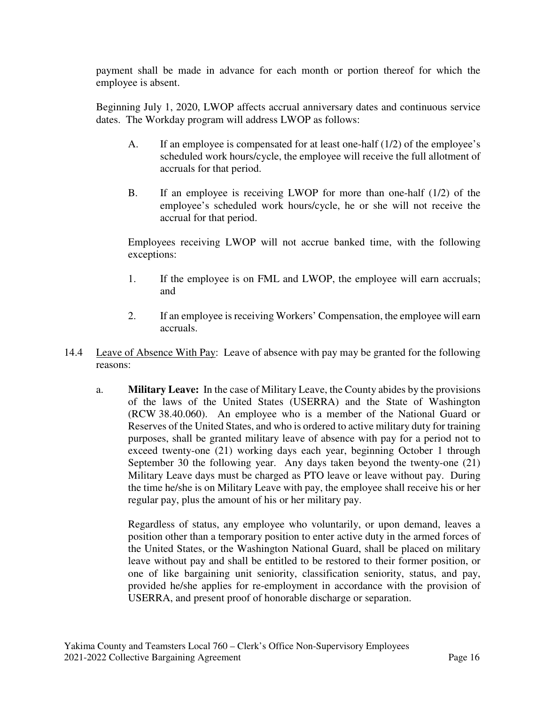payment shall be made in advance for each month or portion thereof for which the employee is absent.

Beginning July 1, 2020, LWOP affects accrual anniversary dates and continuous service dates. The Workday program will address LWOP as follows:

- A. If an employee is compensated for at least one-half (1/2) of the employee's scheduled work hours/cycle, the employee will receive the full allotment of accruals for that period.
- B. If an employee is receiving LWOP for more than one-half (1/2) of the employee's scheduled work hours/cycle, he or she will not receive the accrual for that period.

Employees receiving LWOP will not accrue banked time, with the following exceptions:

- 1. If the employee is on FML and LWOP, the employee will earn accruals; and
- 2. If an employee is receiving Workers' Compensation, the employee will earn accruals.
- 14.4 Leave of Absence With Pay: Leave of absence with pay may be granted for the following reasons:
	- a. **Military Leave:** In the case of Military Leave, the County abides by the provisions of the laws of the United States (USERRA) and the State of Washington (RCW 38.40.060). An employee who is a member of the National Guard or Reserves of the United States, and who is ordered to active military duty for training purposes, shall be granted military leave of absence with pay for a period not to exceed twenty-one (21) working days each year, beginning October 1 through September 30 the following year. Any days taken beyond the twenty-one (21) Military Leave days must be charged as PTO leave or leave without pay. During the time he/she is on Military Leave with pay, the employee shall receive his or her regular pay, plus the amount of his or her military pay.

Regardless of status, any employee who voluntarily, or upon demand, leaves a position other than a temporary position to enter active duty in the armed forces of the United States, or the Washington National Guard, shall be placed on military leave without pay and shall be entitled to be restored to their former position, or one of like bargaining unit seniority, classification seniority, status, and pay, provided he/she applies for re-employment in accordance with the provision of USERRA, and present proof of honorable discharge or separation.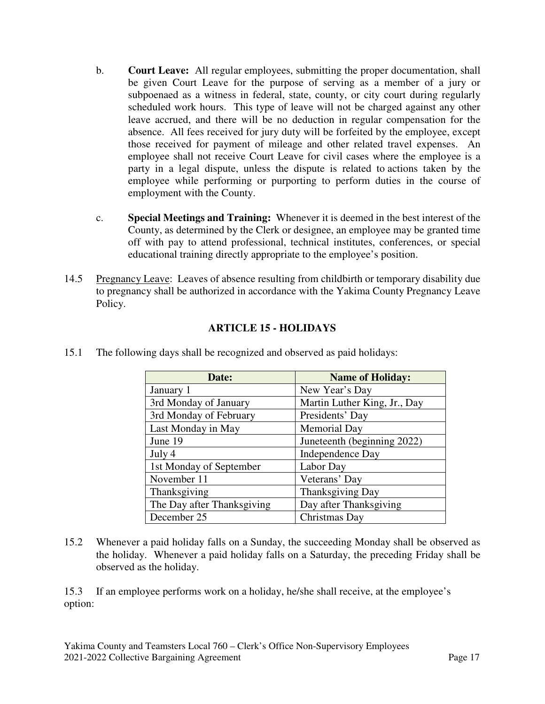- b. **Court Leave:** All regular employees, submitting the proper documentation, shall be given Court Leave for the purpose of serving as a member of a jury or subpoenaed as a witness in federal, state, county, or city court during regularly scheduled work hours. This type of leave will not be charged against any other leave accrued, and there will be no deduction in regular compensation for the absence. All fees received for jury duty will be forfeited by the employee, except those received for payment of mileage and other related travel expenses. An employee shall not receive Court Leave for civil cases where the employee is a party in a legal dispute, unless the dispute is related to actions taken by the employee while performing or purporting to perform duties in the course of employment with the County.
- c. **Special Meetings and Training:** Whenever it is deemed in the best interest of the County, as determined by the Clerk or designee, an employee may be granted time off with pay to attend professional, technical institutes, conferences, or special educational training directly appropriate to the employee's position.
- 14.5 Pregnancy Leave: Leaves of absence resulting from childbirth or temporary disability due to pregnancy shall be authorized in accordance with the Yakima County Pregnancy Leave Policy.

# **ARTICLE 15 - HOLIDAYS**

15.1 The following days shall be recognized and observed as paid holidays:

| Date:                      | <b>Name of Holiday:</b>      |
|----------------------------|------------------------------|
| January 1                  | New Year's Day               |
| 3rd Monday of January      | Martin Luther King, Jr., Day |
| 3rd Monday of February     | Presidents' Day              |
| Last Monday in May         | Memorial Day                 |
| June 19                    | Juneteenth (beginning 2022)  |
| July 4                     | Independence Day             |
| 1st Monday of September    | Labor Day                    |
| November 11                | Veterans' Day                |
| Thanksgiving               | Thanksgiving Day             |
| The Day after Thanksgiving | Day after Thanksgiving       |
| December 25                | Christmas Day                |

15.2 Whenever a paid holiday falls on a Sunday, the succeeding Monday shall be observed as the holiday. Whenever a paid holiday falls on a Saturday, the preceding Friday shall be observed as the holiday.

15.3 If an employee performs work on a holiday, he/she shall receive, at the employee's option: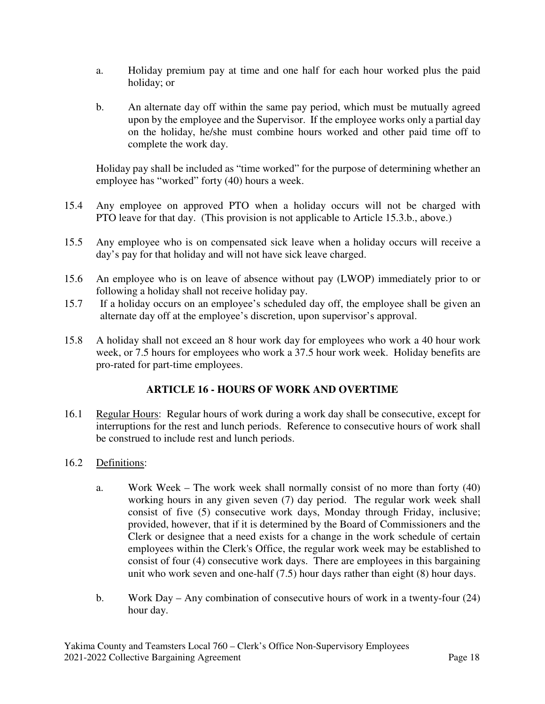- a. Holiday premium pay at time and one half for each hour worked plus the paid holiday; or
- b. An alternate day off within the same pay period, which must be mutually agreed upon by the employee and the Supervisor. If the employee works only a partial day on the holiday, he/she must combine hours worked and other paid time off to complete the work day.

Holiday pay shall be included as "time worked" for the purpose of determining whether an employee has "worked" forty (40) hours a week.

- 15.4 Any employee on approved PTO when a holiday occurs will not be charged with PTO leave for that day. (This provision is not applicable to Article 15.3.b., above.)
- 15.5 Any employee who is on compensated sick leave when a holiday occurs will receive a day's pay for that holiday and will not have sick leave charged.
- 15.6 An employee who is on leave of absence without pay (LWOP) immediately prior to or following a holiday shall not receive holiday pay.
- 15.7 If a holiday occurs on an employee's scheduled day off, the employee shall be given an alternate day off at the employee's discretion, upon supervisor's approval.
- 15.8 A holiday shall not exceed an 8 hour work day for employees who work a 40 hour work week, or 7.5 hours for employees who work a 37.5 hour work week. Holiday benefits are pro-rated for part-time employees.

## **ARTICLE 16 - HOURS OF WORK AND OVERTIME**

- 16.1 Regular Hours: Regular hours of work during a work day shall be consecutive, except for interruptions for the rest and lunch periods. Reference to consecutive hours of work shall be construed to include rest and lunch periods.
- 16.2 Definitions:
	- a. Work Week The work week shall normally consist of no more than forty (40) working hours in any given seven (7) day period. The regular work week shall consist of five (5) consecutive work days, Monday through Friday, inclusive; provided, however, that if it is determined by the Board of Commissioners and the Clerk or designee that a need exists for a change in the work schedule of certain employees within the Clerk's Office, the regular work week may be established to consist of four (4) consecutive work days. There are employees in this bargaining unit who work seven and one-half (7.5) hour days rather than eight (8) hour days.
	- b. Work Day Any combination of consecutive hours of work in a twenty-four (24) hour day.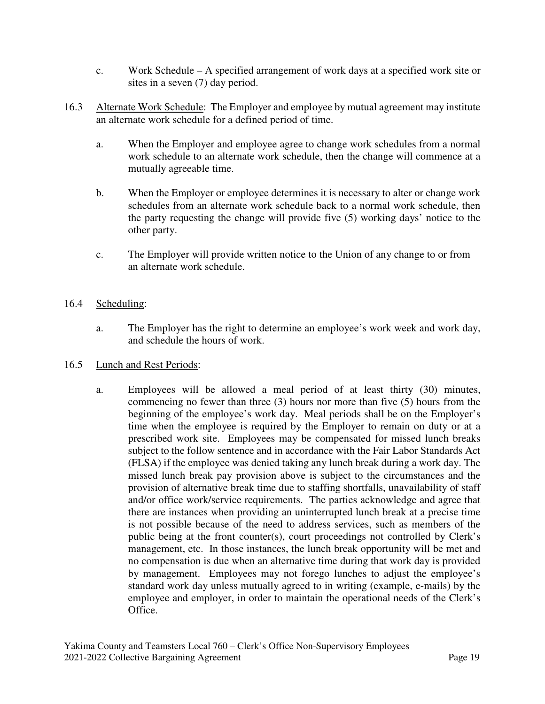- c. Work Schedule A specified arrangement of work days at a specified work site or sites in a seven (7) day period.
- 16.3 Alternate Work Schedule: The Employer and employee by mutual agreement may institute an alternate work schedule for a defined period of time.
	- a. When the Employer and employee agree to change work schedules from a normal work schedule to an alternate work schedule, then the change will commence at a mutually agreeable time.
	- b. When the Employer or employee determines it is necessary to alter or change work schedules from an alternate work schedule back to a normal work schedule, then the party requesting the change will provide five (5) working days' notice to the other party.
	- c. The Employer will provide written notice to the Union of any change to or from an alternate work schedule.

#### 16.4 Scheduling:

a. The Employer has the right to determine an employee's work week and work day, and schedule the hours of work.

#### 16.5 Lunch and Rest Periods:

a. Employees will be allowed a meal period of at least thirty (30) minutes, commencing no fewer than three (3) hours nor more than five (5) hours from the beginning of the employee's work day. Meal periods shall be on the Employer's time when the employee is required by the Employer to remain on duty or at a prescribed work site. Employees may be compensated for missed lunch breaks subject to the follow sentence and in accordance with the Fair Labor Standards Act (FLSA) if the employee was denied taking any lunch break during a work day. The missed lunch break pay provision above is subject to the circumstances and the provision of alternative break time due to staffing shortfalls, unavailability of staff and/or office work/service requirements. The parties acknowledge and agree that there are instances when providing an uninterrupted lunch break at a precise time is not possible because of the need to address services, such as members of the public being at the front counter(s), court proceedings not controlled by Clerk's management, etc. In those instances, the lunch break opportunity will be met and no compensation is due when an alternative time during that work day is provided by management. Employees may not forego lunches to adjust the employee's standard work day unless mutually agreed to in writing (example, e-mails) by the employee and employer, in order to maintain the operational needs of the Clerk's Office.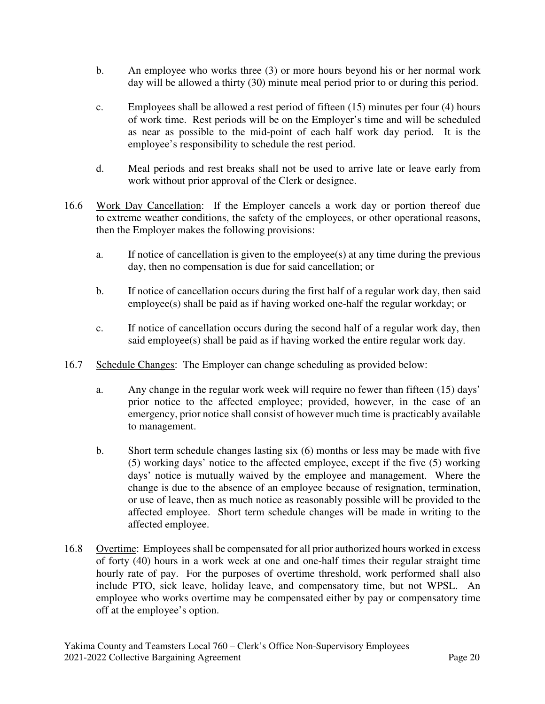- b. An employee who works three (3) or more hours beyond his or her normal work day will be allowed a thirty (30) minute meal period prior to or during this period.
- c. Employees shall be allowed a rest period of fifteen (15) minutes per four (4) hours of work time. Rest periods will be on the Employer's time and will be scheduled as near as possible to the mid-point of each half work day period. It is the employee's responsibility to schedule the rest period.
- d. Meal periods and rest breaks shall not be used to arrive late or leave early from work without prior approval of the Clerk or designee.
- 16.6 Work Day Cancellation: If the Employer cancels a work day or portion thereof due to extreme weather conditions, the safety of the employees, or other operational reasons, then the Employer makes the following provisions:
	- a. If notice of cancellation is given to the employee(s) at any time during the previous day, then no compensation is due for said cancellation; or
	- b. If notice of cancellation occurs during the first half of a regular work day, then said employee(s) shall be paid as if having worked one-half the regular workday; or
	- c. If notice of cancellation occurs during the second half of a regular work day, then said employee(s) shall be paid as if having worked the entire regular work day.
- 16.7 Schedule Changes: The Employer can change scheduling as provided below:
	- a. Any change in the regular work week will require no fewer than fifteen (15) days' prior notice to the affected employee; provided, however, in the case of an emergency, prior notice shall consist of however much time is practicably available to management.
	- b. Short term schedule changes lasting six (6) months or less may be made with five (5) working days' notice to the affected employee, except if the five (5) working days' notice is mutually waived by the employee and management. Where the change is due to the absence of an employee because of resignation, termination, or use of leave, then as much notice as reasonably possible will be provided to the affected employee. Short term schedule changes will be made in writing to the affected employee.
- 16.8 Overtime: Employees shall be compensated for all prior authorized hours worked in excess of forty (40) hours in a work week at one and one-half times their regular straight time hourly rate of pay. For the purposes of overtime threshold, work performed shall also include PTO, sick leave, holiday leave, and compensatory time, but not WPSL. An employee who works overtime may be compensated either by pay or compensatory time off at the employee's option.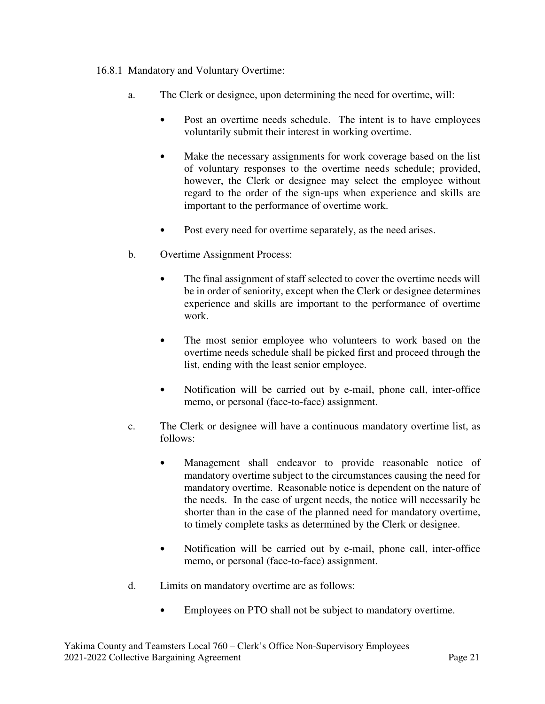## 16.8.1 Mandatory and Voluntary Overtime:

- a. The Clerk or designee, upon determining the need for overtime, will:
	- Post an overtime needs schedule. The intent is to have employees voluntarily submit their interest in working overtime.
	- Make the necessary assignments for work coverage based on the list of voluntary responses to the overtime needs schedule; provided, however, the Clerk or designee may select the employee without regard to the order of the sign-ups when experience and skills are important to the performance of overtime work.
	- Post every need for overtime separately, as the need arises.
- b. Overtime Assignment Process:
	- The final assignment of staff selected to cover the overtime needs will be in order of seniority, except when the Clerk or designee determines experience and skills are important to the performance of overtime work.
	- The most senior employee who volunteers to work based on the overtime needs schedule shall be picked first and proceed through the list, ending with the least senior employee.
	- Notification will be carried out by e-mail, phone call, inter-office memo, or personal (face-to-face) assignment.
- c. The Clerk or designee will have a continuous mandatory overtime list, as follows:
	- Management shall endeavor to provide reasonable notice of mandatory overtime subject to the circumstances causing the need for mandatory overtime. Reasonable notice is dependent on the nature of the needs. In the case of urgent needs, the notice will necessarily be shorter than in the case of the planned need for mandatory overtime, to timely complete tasks as determined by the Clerk or designee.
	- Notification will be carried out by e-mail, phone call, inter-office memo, or personal (face-to-face) assignment.
- d. Limits on mandatory overtime are as follows:
	- Employees on PTO shall not be subject to mandatory overtime.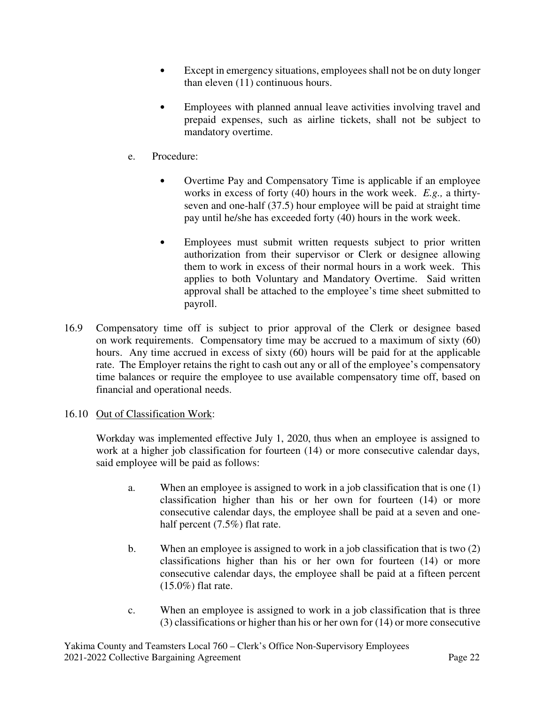- Except in emergency situations, employees shall not be on duty longer than eleven (11) continuous hours.
- Employees with planned annual leave activities involving travel and prepaid expenses, such as airline tickets, shall not be subject to mandatory overtime.
- e. Procedure:
	- Overtime Pay and Compensatory Time is applicable if an employee works in excess of forty (40) hours in the work week. *E.g.,* a thirtyseven and one-half (37.5) hour employee will be paid at straight time pay until he/she has exceeded forty (40) hours in the work week.
	- Employees must submit written requests subject to prior written authorization from their supervisor or Clerk or designee allowing them to work in excess of their normal hours in a work week. This applies to both Voluntary and Mandatory Overtime. Said written approval shall be attached to the employee's time sheet submitted to payroll.
- 16.9 Compensatory time off is subject to prior approval of the Clerk or designee based on work requirements. Compensatory time may be accrued to a maximum of sixty (60) hours. Any time accrued in excess of sixty (60) hours will be paid for at the applicable rate. The Employer retains the right to cash out any or all of the employee's compensatory time balances or require the employee to use available compensatory time off, based on financial and operational needs.

## 16.10 Out of Classification Work:

Workday was implemented effective July 1, 2020, thus when an employee is assigned to work at a higher job classification for fourteen (14) or more consecutive calendar days, said employee will be paid as follows:

- a. When an employee is assigned to work in a job classification that is one (1) classification higher than his or her own for fourteen (14) or more consecutive calendar days, the employee shall be paid at a seven and onehalf percent (7.5%) flat rate.
- b. When an employee is assigned to work in a job classification that is two (2) classifications higher than his or her own for fourteen (14) or more consecutive calendar days, the employee shall be paid at a fifteen percent (15.0%) flat rate.
- c. When an employee is assigned to work in a job classification that is three (3) classifications or higher than his or her own for (14) or more consecutive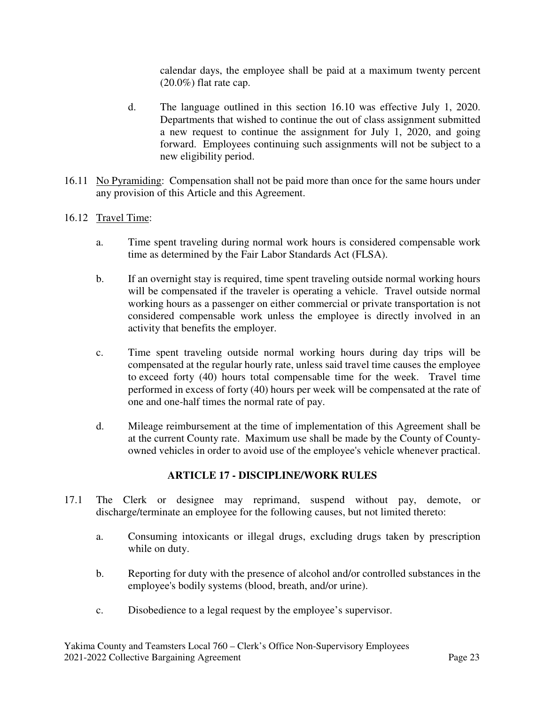calendar days, the employee shall be paid at a maximum twenty percent (20.0%) flat rate cap.

- d. The language outlined in this section 16.10 was effective July 1, 2020. Departments that wished to continue the out of class assignment submitted a new request to continue the assignment for July 1, 2020, and going forward. Employees continuing such assignments will not be subject to a new eligibility period.
- 16.11 No Pyramiding: Compensation shall not be paid more than once for the same hours under any provision of this Article and this Agreement.
- 16.12 Travel Time:
	- a. Time spent traveling during normal work hours is considered compensable work time as determined by the Fair Labor Standards Act (FLSA).
	- b. If an overnight stay is required, time spent traveling outside normal working hours will be compensated if the traveler is operating a vehicle. Travel outside normal working hours as a passenger on either commercial or private transportation is not considered compensable work unless the employee is directly involved in an activity that benefits the employer.
	- c. Time spent traveling outside normal working hours during day trips will be compensated at the regular hourly rate, unless said travel time causes the employee to exceed forty (40) hours total compensable time for the week. Travel time performed in excess of forty (40) hours per week will be compensated at the rate of one and one-half times the normal rate of pay.
	- d. Mileage reimbursement at the time of implementation of this Agreement shall be at the current County rate. Maximum use shall be made by the County of Countyowned vehicles in order to avoid use of the employee's vehicle whenever practical.

## **ARTICLE 17 - DISCIPLINE/WORK RULES**

- 17.1 The Clerk or designee may reprimand, suspend without pay, demote, or discharge/terminate an employee for the following causes, but not limited thereto:
	- a. Consuming intoxicants or illegal drugs, excluding drugs taken by prescription while on duty.
	- b. Reporting for duty with the presence of alcohol and/or controlled substances in the employee's bodily systems (blood, breath, and/or urine).
	- c. Disobedience to a legal request by the employee's supervisor.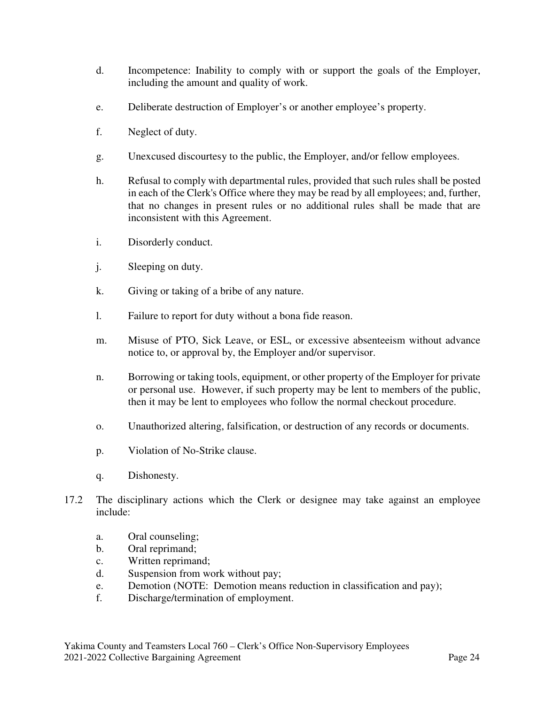- d. Incompetence: Inability to comply with or support the goals of the Employer, including the amount and quality of work.
- e. Deliberate destruction of Employer's or another employee's property.
- f. Neglect of duty.
- g. Unexcused discourtesy to the public, the Employer, and/or fellow employees.
- h. Refusal to comply with departmental rules, provided that such rules shall be posted in each of the Clerk's Office where they may be read by all employees; and, further, that no changes in present rules or no additional rules shall be made that are inconsistent with this Agreement.
- i. Disorderly conduct.
- j. Sleeping on duty.
- k. Giving or taking of a bribe of any nature.
- l. Failure to report for duty without a bona fide reason.
- m. Misuse of PTO, Sick Leave, or ESL, or excessive absenteeism without advance notice to, or approval by, the Employer and/or supervisor.
- n. Borrowing or taking tools, equipment, or other property of the Employer for private or personal use. However, if such property may be lent to members of the public, then it may be lent to employees who follow the normal checkout procedure.
- o. Unauthorized altering, falsification, or destruction of any records or documents.
- p. Violation of No-Strike clause.
- q. Dishonesty.
- 17.2 The disciplinary actions which the Clerk or designee may take against an employee include:
	- a. Oral counseling;
	- b. Oral reprimand;
	- c. Written reprimand;
	- d. Suspension from work without pay;
	- e. Demotion (NOTE: Demotion means reduction in classification and pay);
	- f. Discharge/termination of employment.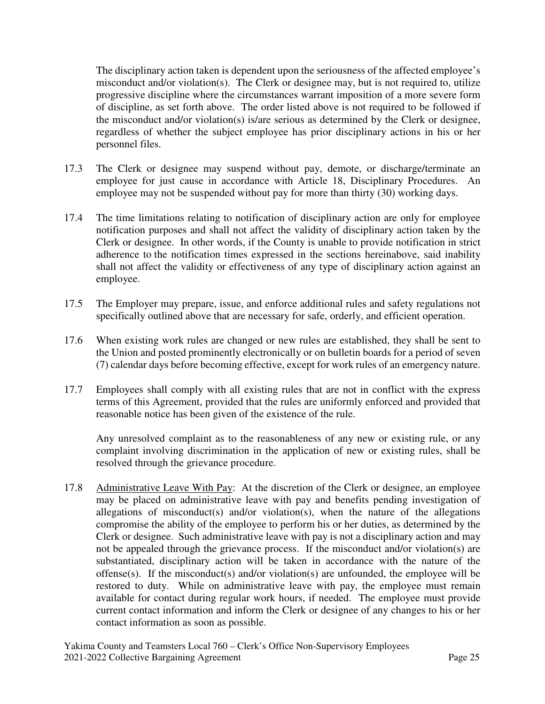The disciplinary action taken is dependent upon the seriousness of the affected employee's misconduct and/or violation(s). The Clerk or designee may, but is not required to, utilize progressive discipline where the circumstances warrant imposition of a more severe form of discipline, as set forth above. The order listed above is not required to be followed if the misconduct and/or violation(s) is/are serious as determined by the Clerk or designee, regardless of whether the subject employee has prior disciplinary actions in his or her personnel files.

- 17.3 The Clerk or designee may suspend without pay, demote, or discharge/terminate an employee for just cause in accordance with Article 18, Disciplinary Procedures. An employee may not be suspended without pay for more than thirty (30) working days.
- 17.4 The time limitations relating to notification of disciplinary action are only for employee notification purposes and shall not affect the validity of disciplinary action taken by the Clerk or designee. In other words, if the County is unable to provide notification in strict adherence to the notification times expressed in the sections hereinabove, said inability shall not affect the validity or effectiveness of any type of disciplinary action against an employee.
- 17.5 The Employer may prepare, issue, and enforce additional rules and safety regulations not specifically outlined above that are necessary for safe, orderly, and efficient operation.
- 17.6 When existing work rules are changed or new rules are established, they shall be sent to the Union and posted prominently electronically or on bulletin boards for a period of seven (7) calendar days before becoming effective, except for work rules of an emergency nature.
- 17.7 Employees shall comply with all existing rules that are not in conflict with the express terms of this Agreement, provided that the rules are uniformly enforced and provided that reasonable notice has been given of the existence of the rule.

 Any unresolved complaint as to the reasonableness of any new or existing rule, or any complaint involving discrimination in the application of new or existing rules, shall be resolved through the grievance procedure.

17.8 Administrative Leave With Pay: At the discretion of the Clerk or designee, an employee may be placed on administrative leave with pay and benefits pending investigation of allegations of misconduct(s) and/or violation(s), when the nature of the allegations compromise the ability of the employee to perform his or her duties, as determined by the Clerk or designee. Such administrative leave with pay is not a disciplinary action and may not be appealed through the grievance process. If the misconduct and/or violation(s) are substantiated, disciplinary action will be taken in accordance with the nature of the offense(s). If the misconduct(s) and/or violation(s) are unfounded, the employee will be restored to duty. While on administrative leave with pay, the employee must remain available for contact during regular work hours, if needed. The employee must provide current contact information and inform the Clerk or designee of any changes to his or her contact information as soon as possible.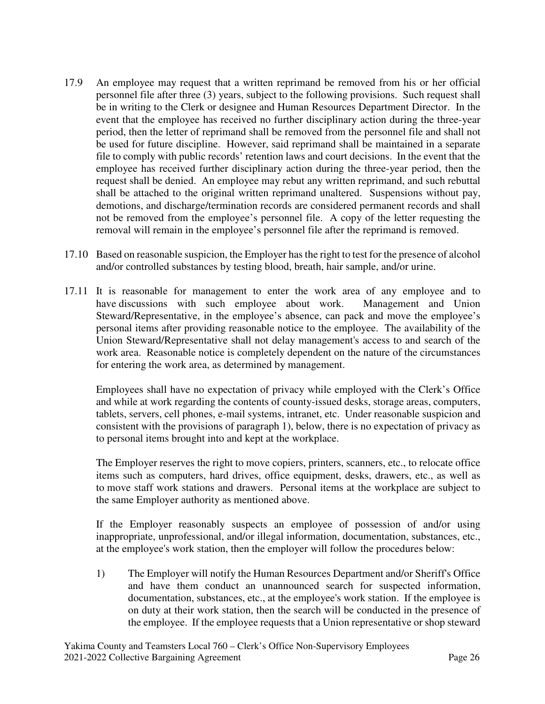- 17.9 An employee may request that a written reprimand be removed from his or her official personnel file after three (3) years, subject to the following provisions. Such request shall be in writing to the Clerk or designee and Human Resources Department Director. In the event that the employee has received no further disciplinary action during the three-year period, then the letter of reprimand shall be removed from the personnel file and shall not be used for future discipline. However, said reprimand shall be maintained in a separate file to comply with public records' retention laws and court decisions. In the event that the employee has received further disciplinary action during the three-year period, then the request shall be denied. An employee may rebut any written reprimand, and such rebuttal shall be attached to the original written reprimand unaltered. Suspensions without pay, demotions, and discharge/termination records are considered permanent records and shall not be removed from the employee's personnel file. A copy of the letter requesting the removal will remain in the employee's personnel file after the reprimand is removed.
- 17.10 Based on reasonable suspicion, the Employer has the right to test for the presence of alcohol and/or controlled substances by testing blood, breath, hair sample, and/or urine.
- 17.11 It is reasonable for management to enter the work area of any employee and to have discussions with such employee about work. Management and Union Steward/Representative, in the employee's absence, can pack and move the employee's personal items after providing reasonable notice to the employee. The availability of the Union Steward/Representative shall not delay management's access to and search of the work area. Reasonable notice is completely dependent on the nature of the circumstances for entering the work area, as determined by management.

Employees shall have no expectation of privacy while employed with the Clerk's Office and while at work regarding the contents of county-issued desks, storage areas, computers, tablets, servers, cell phones, e-mail systems, intranet, etc. Under reasonable suspicion and consistent with the provisions of paragraph 1), below, there is no expectation of privacy as to personal items brought into and kept at the workplace.

The Employer reserves the right to move copiers, printers, scanners, etc., to relocate office items such as computers, hard drives, office equipment, desks, drawers, etc., as well as to move staff work stations and drawers. Personal items at the workplace are subject to the same Employer authority as mentioned above.

If the Employer reasonably suspects an employee of possession of and/or using inappropriate, unprofessional, and/or illegal information, documentation, substances, etc., at the employee's work station, then the employer will follow the procedures below:

1) The Employer will notify the Human Resources Department and/or Sheriff's Office and have them conduct an unannounced search for suspected information, documentation, substances, etc., at the employee's work station. If the employee is on duty at their work station, then the search will be conducted in the presence of the employee. If the employee requests that a Union representative or shop steward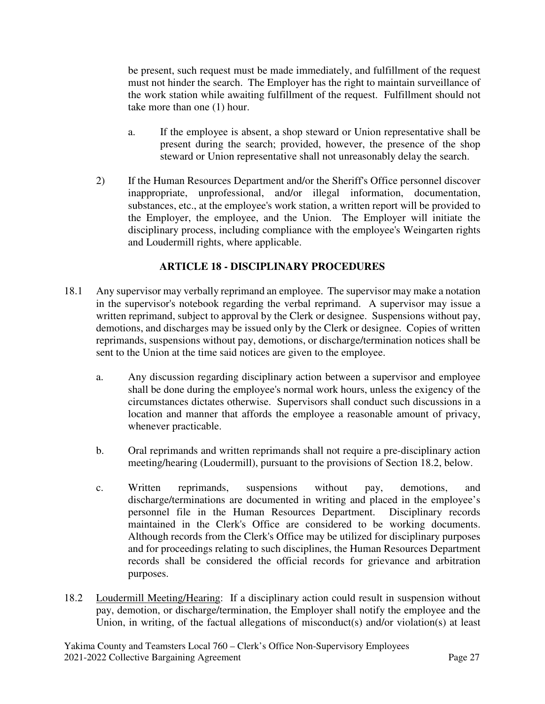be present, such request must be made immediately, and fulfillment of the request must not hinder the search. The Employer has the right to maintain surveillance of the work station while awaiting fulfillment of the request. Fulfillment should not take more than one (1) hour.

- a. If the employee is absent, a shop steward or Union representative shall be present during the search; provided, however, the presence of the shop steward or Union representative shall not unreasonably delay the search.
- 2) If the Human Resources Department and/or the Sheriff's Office personnel discover inappropriate, unprofessional, and/or illegal information, documentation, substances, etc., at the employee's work station, a written report will be provided to the Employer, the employee, and the Union. The Employer will initiate the disciplinary process, including compliance with the employee's Weingarten rights and Loudermill rights, where applicable.

# **ARTICLE 18 - DISCIPLINARY PROCEDURES**

- 18.1 Any supervisor may verbally reprimand an employee. The supervisor may make a notation in the supervisor's notebook regarding the verbal reprimand. A supervisor may issue a written reprimand, subject to approval by the Clerk or designee. Suspensions without pay, demotions, and discharges may be issued only by the Clerk or designee. Copies of written reprimands, suspensions without pay, demotions, or discharge/termination notices shall be sent to the Union at the time said notices are given to the employee.
	- a. Any discussion regarding disciplinary action between a supervisor and employee shall be done during the employee's normal work hours, unless the exigency of the circumstances dictates otherwise. Supervisors shall conduct such discussions in a location and manner that affords the employee a reasonable amount of privacy, whenever practicable.
	- b. Oral reprimands and written reprimands shall not require a pre-disciplinary action meeting/hearing (Loudermill), pursuant to the provisions of Section 18.2, below.
	- c. Written reprimands, suspensions without pay, demotions, and discharge/terminations are documented in writing and placed in the employee's personnel file in the Human Resources Department. Disciplinary records maintained in the Clerk's Office are considered to be working documents. Although records from the Clerk's Office may be utilized for disciplinary purposes and for proceedings relating to such disciplines, the Human Resources Department records shall be considered the official records for grievance and arbitration purposes.
- 18.2 Loudermill Meeting/Hearing: If a disciplinary action could result in suspension without pay, demotion, or discharge/termination, the Employer shall notify the employee and the Union, in writing, of the factual allegations of misconduct(s) and/or violation(s) at least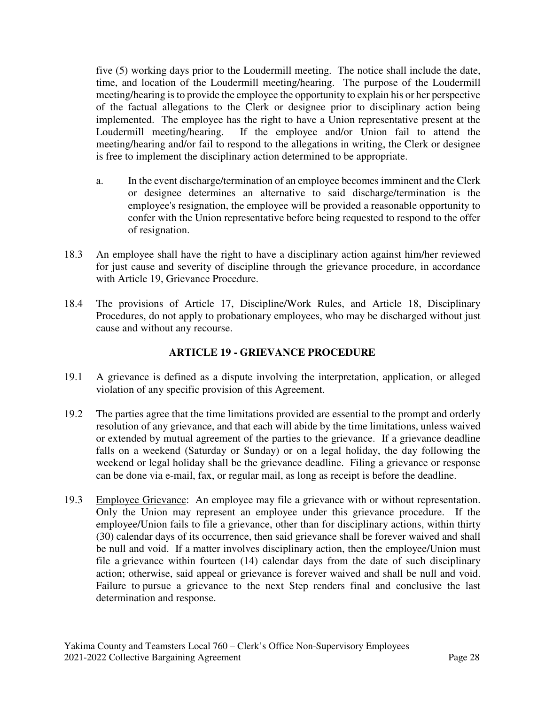five (5) working days prior to the Loudermill meeting. The notice shall include the date, time, and location of the Loudermill meeting/hearing. The purpose of the Loudermill meeting/hearing is to provide the employee the opportunity to explain his or her perspective of the factual allegations to the Clerk or designee prior to disciplinary action being implemented. The employee has the right to have a Union representative present at the Loudermill meeting/hearing. If the employee and/or Union fail to attend the meeting/hearing and/or fail to respond to the allegations in writing, the Clerk or designee is free to implement the disciplinary action determined to be appropriate.

- a. In the event discharge/termination of an employee becomes imminent and the Clerk or designee determines an alternative to said discharge/termination is the employee's resignation, the employee will be provided a reasonable opportunity to confer with the Union representative before being requested to respond to the offer of resignation.
- 18.3 An employee shall have the right to have a disciplinary action against him/her reviewed for just cause and severity of discipline through the grievance procedure, in accordance with Article 19, Grievance Procedure.
- 18.4 The provisions of Article 17, Discipline/Work Rules, and Article 18, Disciplinary Procedures, do not apply to probationary employees, who may be discharged without just cause and without any recourse.

# **ARTICLE 19 - GRIEVANCE PROCEDURE**

- 19.1 A grievance is defined as a dispute involving the interpretation, application, or alleged violation of any specific provision of this Agreement.
- 19.2 The parties agree that the time limitations provided are essential to the prompt and orderly resolution of any grievance, and that each will abide by the time limitations, unless waived or extended by mutual agreement of the parties to the grievance. If a grievance deadline falls on a weekend (Saturday or Sunday) or on a legal holiday, the day following the weekend or legal holiday shall be the grievance deadline. Filing a grievance or response can be done via e-mail, fax, or regular mail, as long as receipt is before the deadline.
- 19.3 Employee Grievance: An employee may file a grievance with or without representation. Only the Union may represent an employee under this grievance procedure. If the employee/Union fails to file a grievance, other than for disciplinary actions, within thirty (30) calendar days of its occurrence, then said grievance shall be forever waived and shall be null and void. If a matter involves disciplinary action, then the employee/Union must file a grievance within fourteen (14) calendar days from the date of such disciplinary action; otherwise, said appeal or grievance is forever waived and shall be null and void. Failure to pursue a grievance to the next Step renders final and conclusive the last determination and response.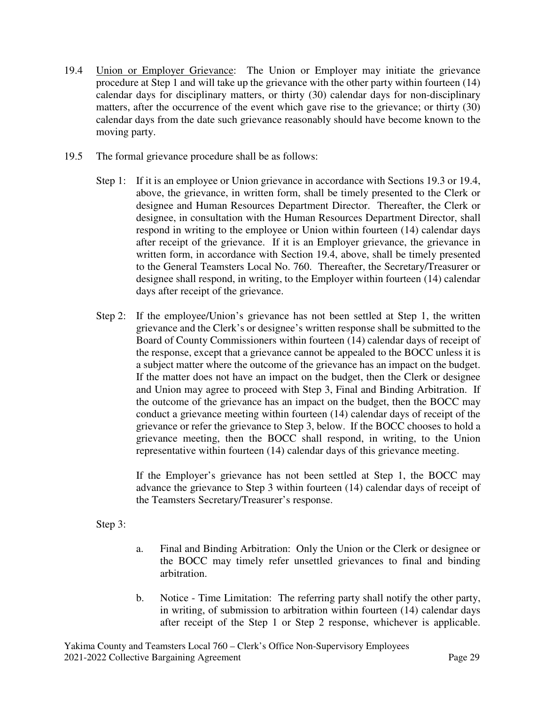- 19.4 Union or Employer Grievance: The Union or Employer may initiate the grievance procedure at Step 1 and will take up the grievance with the other party within fourteen (14) calendar days for disciplinary matters, or thirty (30) calendar days for non-disciplinary matters, after the occurrence of the event which gave rise to the grievance; or thirty (30) calendar days from the date such grievance reasonably should have become known to the moving party.
- 19.5 The formal grievance procedure shall be as follows:
	- Step 1: If it is an employee or Union grievance in accordance with Sections 19.3 or 19.4, above, the grievance, in written form, shall be timely presented to the Clerk or designee and Human Resources Department Director. Thereafter, the Clerk or designee, in consultation with the Human Resources Department Director, shall respond in writing to the employee or Union within fourteen (14) calendar days after receipt of the grievance. If it is an Employer grievance, the grievance in written form, in accordance with Section 19.4, above, shall be timely presented to the General Teamsters Local No. 760. Thereafter, the Secretary/Treasurer or designee shall respond, in writing, to the Employer within fourteen (14) calendar days after receipt of the grievance.
	- Step 2: If the employee/Union's grievance has not been settled at Step 1, the written grievance and the Clerk's or designee's written response shall be submitted to the Board of County Commissioners within fourteen (14) calendar days of receipt of the response, except that a grievance cannot be appealed to the BOCC unless it is a subject matter where the outcome of the grievance has an impact on the budget. If the matter does not have an impact on the budget, then the Clerk or designee and Union may agree to proceed with Step 3, Final and Binding Arbitration. If the outcome of the grievance has an impact on the budget, then the BOCC may conduct a grievance meeting within fourteen (14) calendar days of receipt of the grievance or refer the grievance to Step 3, below. If the BOCC chooses to hold a grievance meeting, then the BOCC shall respond, in writing, to the Union representative within fourteen (14) calendar days of this grievance meeting.

If the Employer's grievance has not been settled at Step 1, the BOCC may advance the grievance to Step 3 within fourteen (14) calendar days of receipt of the Teamsters Secretary/Treasurer's response.

Step 3:

- a. Final and Binding Arbitration: Only the Union or the Clerk or designee or the BOCC may timely refer unsettled grievances to final and binding arbitration.
- b. Notice Time Limitation: The referring party shall notify the other party, in writing, of submission to arbitration within fourteen (14) calendar days after receipt of the Step 1 or Step 2 response, whichever is applicable.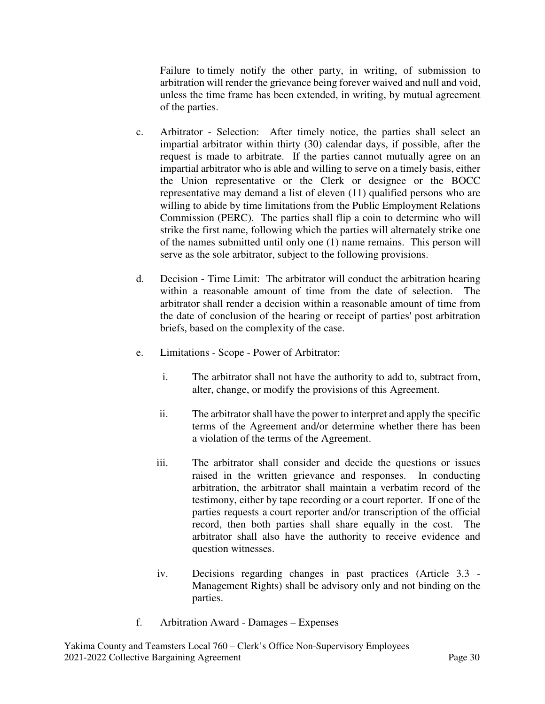Failure to timely notify the other party, in writing, of submission to arbitration will render the grievance being forever waived and null and void, unless the time frame has been extended, in writing, by mutual agreement of the parties.

- c. Arbitrator Selection: After timely notice, the parties shall select an impartial arbitrator within thirty (30) calendar days, if possible, after the request is made to arbitrate. If the parties cannot mutually agree on an impartial arbitrator who is able and willing to serve on a timely basis, either the Union representative or the Clerk or designee or the BOCC representative may demand a list of eleven (11) qualified persons who are willing to abide by time limitations from the Public Employment Relations Commission (PERC). The parties shall flip a coin to determine who will strike the first name, following which the parties will alternately strike one of the names submitted until only one (1) name remains. This person will serve as the sole arbitrator, subject to the following provisions.
- d. Decision Time Limit: The arbitrator will conduct the arbitration hearing within a reasonable amount of time from the date of selection. arbitrator shall render a decision within a reasonable amount of time from the date of conclusion of the hearing or receipt of parties' post arbitration briefs, based on the complexity of the case.
- e. Limitations Scope Power of Arbitrator:
	- i. The arbitrator shall not have the authority to add to, subtract from, alter, change, or modify the provisions of this Agreement.
	- ii. The arbitrator shall have the power to interpret and apply the specific terms of the Agreement and/or determine whether there has been a violation of the terms of the Agreement.
	- iii. The arbitrator shall consider and decide the questions or issues raised in the written grievance and responses. In conducting arbitration, the arbitrator shall maintain a verbatim record of the testimony, either by tape recording or a court reporter. If one of the parties requests a court reporter and/or transcription of the official record, then both parties shall share equally in the cost. The arbitrator shall also have the authority to receive evidence and question witnesses.
	- iv. Decisions regarding changes in past practices (Article 3.3 Management Rights) shall be advisory only and not binding on the parties.
- f. Arbitration Award Damages Expenses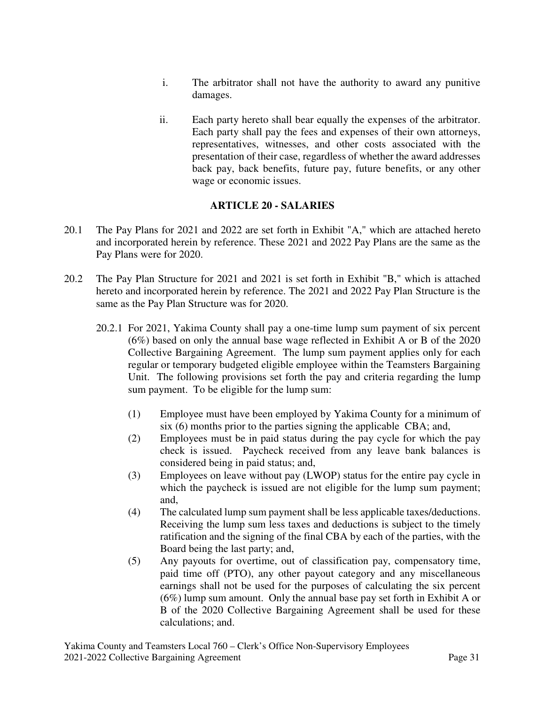- i. The arbitrator shall not have the authority to award any punitive damages.
- ii. Each party hereto shall bear equally the expenses of the arbitrator. Each party shall pay the fees and expenses of their own attorneys, representatives, witnesses, and other costs associated with the presentation of their case, regardless of whether the award addresses back pay, back benefits, future pay, future benefits, or any other wage or economic issues.

## **ARTICLE 20 - SALARIES**

- 20.1 The Pay Plans for 2021 and 2022 are set forth in Exhibit "A," which are attached hereto and incorporated herein by reference. These 2021 and 2022 Pay Plans are the same as the Pay Plans were for 2020.
- 20.2 The Pay Plan Structure for 2021 and 2021 is set forth in Exhibit "B," which is attached hereto and incorporated herein by reference. The 2021 and 2022 Pay Plan Structure is the same as the Pay Plan Structure was for 2020.
	- 20.2.1For 2021, Yakima County shall pay a one-time lump sum payment of six percent (6%) based on only the annual base wage reflected in Exhibit A or B of the 2020 Collective Bargaining Agreement. The lump sum payment applies only for each regular or temporary budgeted eligible employee within the Teamsters Bargaining Unit. The following provisions set forth the pay and criteria regarding the lump sum payment. To be eligible for the lump sum:
		- (1) Employee must have been employed by Yakima County for a minimum of six (6) months prior to the parties signing the applicable CBA; and,
		- (2) Employees must be in paid status during the pay cycle for which the pay check is issued. Paycheck received from any leave bank balances is considered being in paid status; and,
		- (3) Employees on leave without pay (LWOP) status for the entire pay cycle in which the paycheck is issued are not eligible for the lump sum payment; and,
		- (4) The calculated lump sum payment shall be less applicable taxes/deductions. Receiving the lump sum less taxes and deductions is subject to the timely ratification and the signing of the final CBA by each of the parties, with the Board being the last party; and,
		- (5) Any payouts for overtime, out of classification pay, compensatory time, paid time off (PTO), any other payout category and any miscellaneous earnings shall not be used for the purposes of calculating the six percent (6%) lump sum amount. Only the annual base pay set forth in Exhibit A or B of the 2020 Collective Bargaining Agreement shall be used for these calculations; and.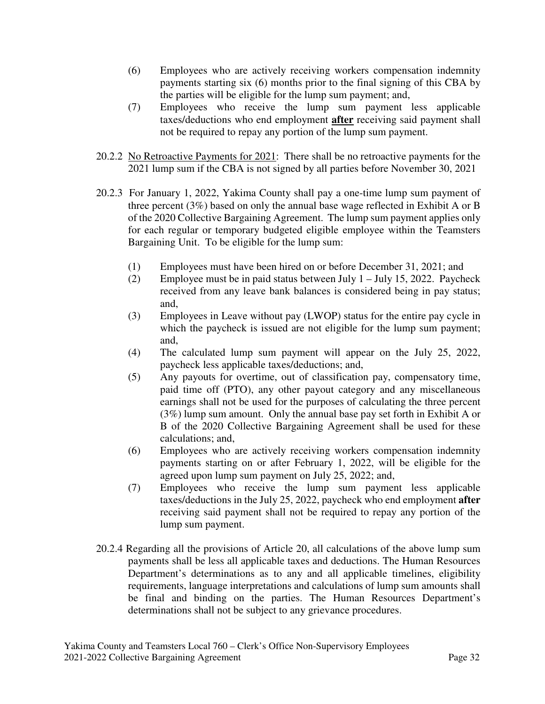- (6) Employees who are actively receiving workers compensation indemnity payments starting six (6) months prior to the final signing of this CBA by the parties will be eligible for the lump sum payment; and,
- (7) Employees who receive the lump sum payment less applicable taxes/deductions who end employment **after** receiving said payment shall not be required to repay any portion of the lump sum payment.
- 20.2.2 No Retroactive Payments for 2021: There shall be no retroactive payments for the 2021 lump sum if the CBA is not signed by all parties before November 30, 2021
- 20.2.3 For January 1, 2022, Yakima County shall pay a one-time lump sum payment of three percent (3%) based on only the annual base wage reflected in Exhibit A or B of the 2020 Collective Bargaining Agreement. The lump sum payment applies only for each regular or temporary budgeted eligible employee within the Teamsters Bargaining Unit. To be eligible for the lump sum:
	- (1) Employees must have been hired on or before December 31, 2021; and
	- (2) Employee must be in paid status between July  $1 -$  July 15, 2022. Paycheck received from any leave bank balances is considered being in pay status; and,
	- (3) Employees in Leave without pay (LWOP) status for the entire pay cycle in which the paycheck is issued are not eligible for the lump sum payment; and,
	- (4) The calculated lump sum payment will appear on the July 25, 2022, paycheck less applicable taxes/deductions; and,
	- (5) Any payouts for overtime, out of classification pay, compensatory time, paid time off (PTO), any other payout category and any miscellaneous earnings shall not be used for the purposes of calculating the three percent (3%) lump sum amount. Only the annual base pay set forth in Exhibit A or B of the 2020 Collective Bargaining Agreement shall be used for these calculations; and,
	- (6) Employees who are actively receiving workers compensation indemnity payments starting on or after February 1, 2022, will be eligible for the agreed upon lump sum payment on July 25, 2022; and,
	- (7) Employees who receive the lump sum payment less applicable taxes/deductions in the July 25, 2022, paycheck who end employment **after**  receiving said payment shall not be required to repay any portion of the lump sum payment.
- 20.2.4 Regarding all the provisions of Article 20, all calculations of the above lump sum payments shall be less all applicable taxes and deductions. The Human Resources Department's determinations as to any and all applicable timelines, eligibility requirements, language interpretations and calculations of lump sum amounts shall be final and binding on the parties. The Human Resources Department's determinations shall not be subject to any grievance procedures.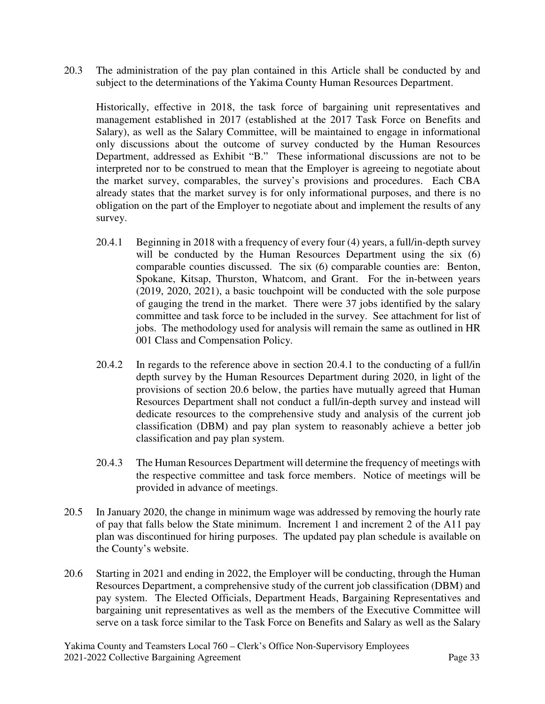20.3 The administration of the pay plan contained in this Article shall be conducted by and subject to the determinations of the Yakima County Human Resources Department.

Historically, effective in 2018, the task force of bargaining unit representatives and management established in 2017 (established at the 2017 Task Force on Benefits and Salary), as well as the Salary Committee, will be maintained to engage in informational only discussions about the outcome of survey conducted by the Human Resources Department, addressed as Exhibit "B." These informational discussions are not to be interpreted nor to be construed to mean that the Employer is agreeing to negotiate about the market survey, comparables, the survey's provisions and procedures. Each CBA already states that the market survey is for only informational purposes, and there is no obligation on the part of the Employer to negotiate about and implement the results of any survey.

- 20.4.1 Beginning in 2018 with a frequency of every four (4) years, a full/in-depth survey will be conducted by the Human Resources Department using the six (6) comparable counties discussed. The six (6) comparable counties are: Benton, Spokane, Kitsap, Thurston, Whatcom, and Grant. For the in-between years (2019, 2020, 2021), a basic touchpoint will be conducted with the sole purpose of gauging the trend in the market. There were 37 jobs identified by the salary committee and task force to be included in the survey. See attachment for list of jobs. The methodology used for analysis will remain the same as outlined in HR 001 Class and Compensation Policy.
- 20.4.2 In regards to the reference above in section 20.4.1 to the conducting of a full/in depth survey by the Human Resources Department during 2020, in light of the provisions of section 20.6 below, the parties have mutually agreed that Human Resources Department shall not conduct a full/in-depth survey and instead will dedicate resources to the comprehensive study and analysis of the current job classification (DBM) and pay plan system to reasonably achieve a better job classification and pay plan system.
- 20.4.3 The Human Resources Department will determine the frequency of meetings with the respective committee and task force members. Notice of meetings will be provided in advance of meetings.
- 20.5 In January 2020, the change in minimum wage was addressed by removing the hourly rate of pay that falls below the State minimum. Increment 1 and increment 2 of the A11 pay plan was discontinued for hiring purposes. The updated pay plan schedule is available on the County's website.
- 20.6 Starting in 2021 and ending in 2022, the Employer will be conducting, through the Human Resources Department, a comprehensive study of the current job classification (DBM) and pay system. The Elected Officials, Department Heads, Bargaining Representatives and bargaining unit representatives as well as the members of the Executive Committee will serve on a task force similar to the Task Force on Benefits and Salary as well as the Salary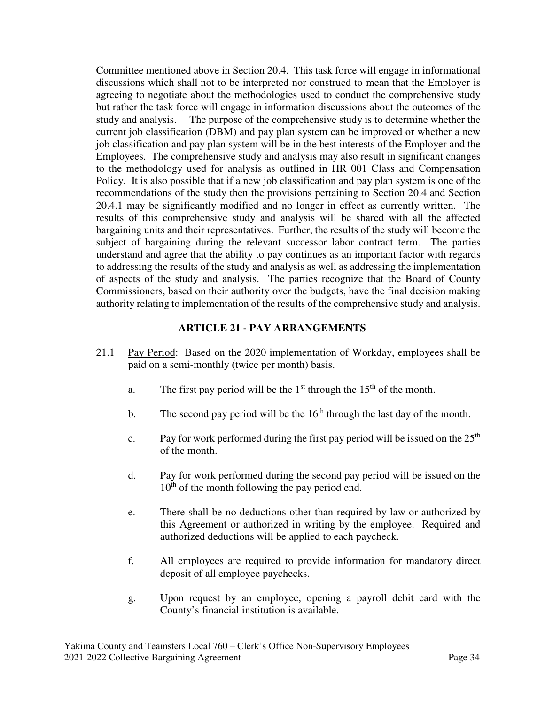Committee mentioned above in Section 20.4. This task force will engage in informational discussions which shall not to be interpreted nor construed to mean that the Employer is agreeing to negotiate about the methodologies used to conduct the comprehensive study but rather the task force will engage in information discussions about the outcomes of the study and analysis. The purpose of the comprehensive study is to determine whether the current job classification (DBM) and pay plan system can be improved or whether a new job classification and pay plan system will be in the best interests of the Employer and the Employees. The comprehensive study and analysis may also result in significant changes to the methodology used for analysis as outlined in HR 001 Class and Compensation Policy. It is also possible that if a new job classification and pay plan system is one of the recommendations of the study then the provisions pertaining to Section 20.4 and Section 20.4.1 may be significantly modified and no longer in effect as currently written. The results of this comprehensive study and analysis will be shared with all the affected bargaining units and their representatives. Further, the results of the study will become the subject of bargaining during the relevant successor labor contract term. The parties understand and agree that the ability to pay continues as an important factor with regards to addressing the results of the study and analysis as well as addressing the implementation of aspects of the study and analysis. The parties recognize that the Board of County Commissioners, based on their authority over the budgets, have the final decision making authority relating to implementation of the results of the comprehensive study and analysis.

## **ARTICLE 21 - PAY ARRANGEMENTS**

- 21.1 Pay Period: Based on the 2020 implementation of Workday, employees shall be paid on a semi-monthly (twice per month) basis.
	- a. The first pay period will be the  $1<sup>st</sup>$  through the  $15<sup>th</sup>$  of the month.
	- b. The second pay period will be the  $16<sup>th</sup>$  through the last day of the month.
	- c. Pay for work performed during the first pay period will be issued on the  $25<sup>th</sup>$ of the month.
	- d. Pay for work performed during the second pay period will be issued on the  $10<sup>th</sup>$  of the month following the pay period end.
	- e. There shall be no deductions other than required by law or authorized by this Agreement or authorized in writing by the employee. Required and authorized deductions will be applied to each paycheck.
	- f. All employees are required to provide information for mandatory direct deposit of all employee paychecks.
	- g. Upon request by an employee, opening a payroll debit card with the County's financial institution is available.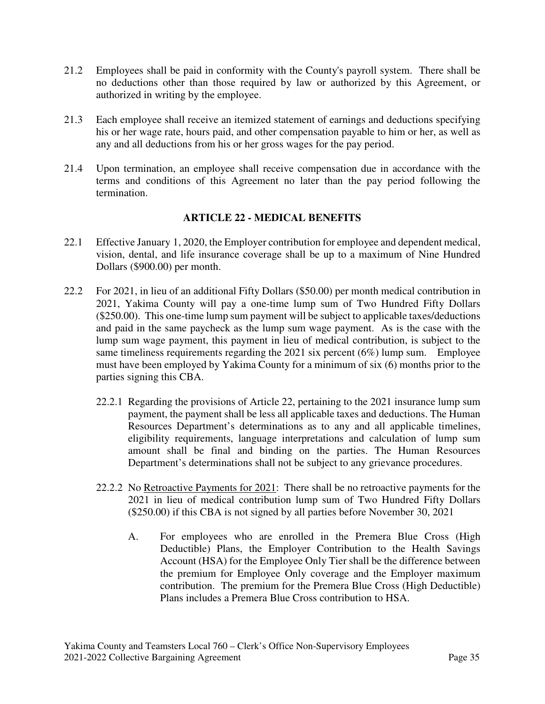- 21.2 Employees shall be paid in conformity with the County's payroll system. There shall be no deductions other than those required by law or authorized by this Agreement, or authorized in writing by the employee.
- 21.3 Each employee shall receive an itemized statement of earnings and deductions specifying his or her wage rate, hours paid, and other compensation payable to him or her, as well as any and all deductions from his or her gross wages for the pay period.
- 21.4 Upon termination, an employee shall receive compensation due in accordance with the terms and conditions of this Agreement no later than the pay period following the termination.

## **ARTICLE 22 - MEDICAL BENEFITS**

- 22.1 Effective January 1, 2020, the Employer contribution for employee and dependent medical, vision, dental, and life insurance coverage shall be up to a maximum of Nine Hundred Dollars (\$900.00) per month.
- 22.2 For 2021, in lieu of an additional Fifty Dollars (\$50.00) per month medical contribution in 2021, Yakima County will pay a one-time lump sum of Two Hundred Fifty Dollars (\$250.00). This one-time lump sum payment will be subject to applicable taxes/deductions and paid in the same paycheck as the lump sum wage payment. As is the case with the lump sum wage payment, this payment in lieu of medical contribution, is subject to the same timeliness requirements regarding the 2021 six percent (6%) lump sum. Employee must have been employed by Yakima County for a minimum of six (6) months prior to the parties signing this CBA.
	- 22.2.1 Regarding the provisions of Article 22, pertaining to the 2021 insurance lump sum payment, the payment shall be less all applicable taxes and deductions. The Human Resources Department's determinations as to any and all applicable timelines, eligibility requirements, language interpretations and calculation of lump sum amount shall be final and binding on the parties. The Human Resources Department's determinations shall not be subject to any grievance procedures.
	- 22.2.2 No Retroactive Payments for 2021: There shall be no retroactive payments for the 2021 in lieu of medical contribution lump sum of Two Hundred Fifty Dollars (\$250.00) if this CBA is not signed by all parties before November 30, 2021
		- A. For employees who are enrolled in the Premera Blue Cross (High Deductible) Plans, the Employer Contribution to the Health Savings Account (HSA) for the Employee Only Tier shall be the difference between the premium for Employee Only coverage and the Employer maximum contribution. The premium for the Premera Blue Cross (High Deductible) Plans includes a Premera Blue Cross contribution to HSA.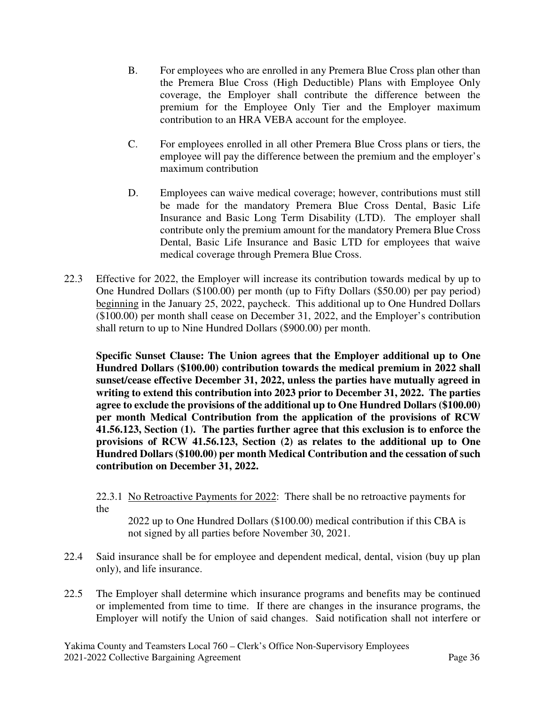- B. For employees who are enrolled in any Premera Blue Cross plan other than the Premera Blue Cross (High Deductible) Plans with Employee Only coverage, the Employer shall contribute the difference between the premium for the Employee Only Tier and the Employer maximum contribution to an HRA VEBA account for the employee.
- C. For employees enrolled in all other Premera Blue Cross plans or tiers, the employee will pay the difference between the premium and the employer's maximum contribution
- D. Employees can waive medical coverage; however, contributions must still be made for the mandatory Premera Blue Cross Dental, Basic Life Insurance and Basic Long Term Disability (LTD). The employer shall contribute only the premium amount for the mandatory Premera Blue Cross Dental, Basic Life Insurance and Basic LTD for employees that waive medical coverage through Premera Blue Cross.
- 22.3 Effective for 2022, the Employer will increase its contribution towards medical by up to One Hundred Dollars (\$100.00) per month (up to Fifty Dollars (\$50.00) per pay period) beginning in the January 25, 2022, paycheck. This additional up to One Hundred Dollars (\$100.00) per month shall cease on December 31, 2022, and the Employer's contribution shall return to up to Nine Hundred Dollars (\$900.00) per month.

**Specific Sunset Clause: The Union agrees that the Employer additional up to One Hundred Dollars (\$100.00) contribution towards the medical premium in 2022 shall sunset/cease effective December 31, 2022, unless the parties have mutually agreed in writing to extend this contribution into 2023 prior to December 31, 2022. The parties agree to exclude the provisions of the additional up to One Hundred Dollars (\$100.00) per month Medical Contribution from the application of the provisions of RCW 41.56.123, Section (1). The parties further agree that this exclusion is to enforce the provisions of RCW 41.56.123, Section (2) as relates to the additional up to One Hundred Dollars (\$100.00) per month Medical Contribution and the cessation of such contribution on December 31, 2022.** 

22.3.1 No Retroactive Payments for 2022: There shall be no retroactive payments for the

2022 up to One Hundred Dollars (\$100.00) medical contribution if this CBA is not signed by all parties before November 30, 2021.

- 22.4 Said insurance shall be for employee and dependent medical, dental, vision (buy up plan only), and life insurance.
- 22.5 The Employer shall determine which insurance programs and benefits may be continued or implemented from time to time. If there are changes in the insurance programs, the Employer will notify the Union of said changes. Said notification shall not interfere or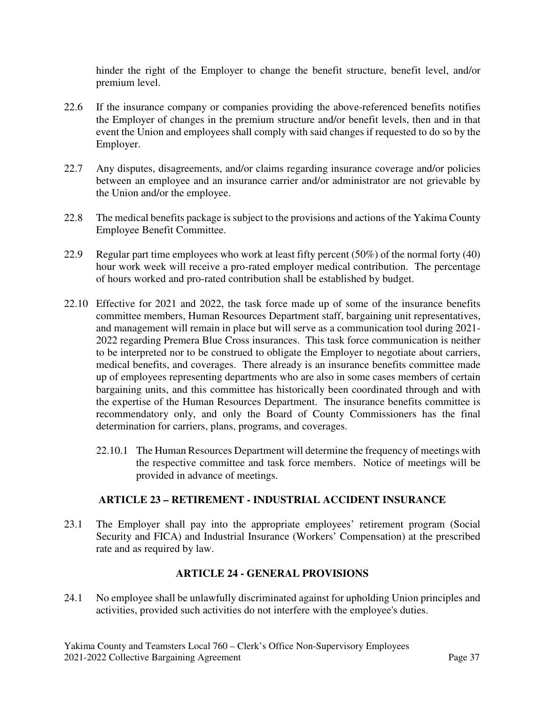hinder the right of the Employer to change the benefit structure, benefit level, and/or premium level.

- 22.6 If the insurance company or companies providing the above-referenced benefits notifies the Employer of changes in the premium structure and/or benefit levels, then and in that event the Union and employees shall comply with said changes if requested to do so by the Employer.
- 22.7 Any disputes, disagreements, and/or claims regarding insurance coverage and/or policies between an employee and an insurance carrier and/or administrator are not grievable by the Union and/or the employee.
- 22.8 The medical benefits package is subject to the provisions and actions of the Yakima County Employee Benefit Committee.
- 22.9 Regular part time employees who work at least fifty percent (50%) of the normal forty (40) hour work week will receive a pro-rated employer medical contribution. The percentage of hours worked and pro-rated contribution shall be established by budget.
- 22.10 Effective for 2021 and 2022, the task force made up of some of the insurance benefits committee members, Human Resources Department staff, bargaining unit representatives, and management will remain in place but will serve as a communication tool during 2021- 2022 regarding Premera Blue Cross insurances. This task force communication is neither to be interpreted nor to be construed to obligate the Employer to negotiate about carriers, medical benefits, and coverages. There already is an insurance benefits committee made up of employees representing departments who are also in some cases members of certain bargaining units, and this committee has historically been coordinated through and with the expertise of the Human Resources Department. The insurance benefits committee is recommendatory only, and only the Board of County Commissioners has the final determination for carriers, plans, programs, and coverages.
	- 22.10.1 The Human Resources Department will determine the frequency of meetings with the respective committee and task force members. Notice of meetings will be provided in advance of meetings.

## **ARTICLE 23 – RETIREMENT - INDUSTRIAL ACCIDENT INSURANCE**

23.1 The Employer shall pay into the appropriate employees' retirement program (Social Security and FICA) and Industrial Insurance (Workers' Compensation) at the prescribed rate and as required by law.

## **ARTICLE 24 - GENERAL PROVISIONS**

24.1 No employee shall be unlawfully discriminated against for upholding Union principles and activities, provided such activities do not interfere with the employee's duties.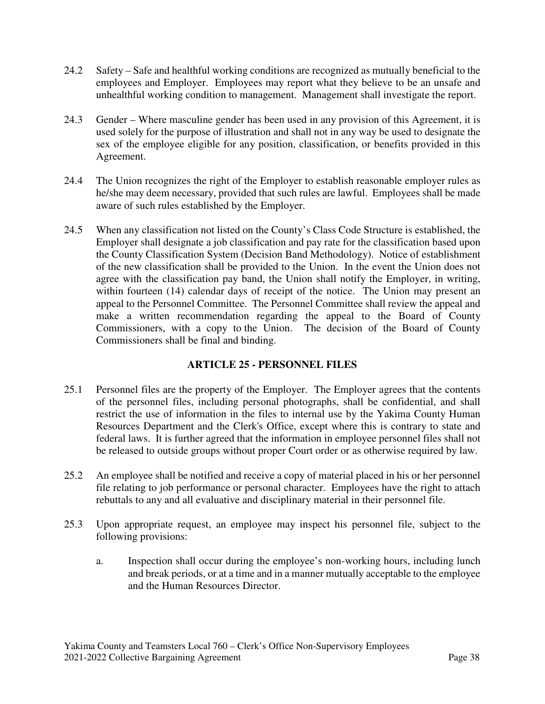- 24.2 Safety Safe and healthful working conditions are recognized as mutually beneficial to the employees and Employer. Employees may report what they believe to be an unsafe and unhealthful working condition to management. Management shall investigate the report.
- 24.3 Gender Where masculine gender has been used in any provision of this Agreement, it is used solely for the purpose of illustration and shall not in any way be used to designate the sex of the employee eligible for any position, classification, or benefits provided in this Agreement.
- 24.4 The Union recognizes the right of the Employer to establish reasonable employer rules as he/she may deem necessary, provided that such rules are lawful. Employees shall be made aware of such rules established by the Employer.
- 24.5 When any classification not listed on the County's Class Code Structure is established, the Employer shall designate a job classification and pay rate for the classification based upon the County Classification System (Decision Band Methodology). Notice of establishment of the new classification shall be provided to the Union. In the event the Union does not agree with the classification pay band, the Union shall notify the Employer, in writing, within fourteen (14) calendar days of receipt of the notice. The Union may present an appeal to the Personnel Committee. The Personnel Committee shall review the appeal and make a written recommendation regarding the appeal to the Board of County Commissioners, with a copy to the Union. The decision of the Board of County Commissioners shall be final and binding.

# **ARTICLE 25 - PERSONNEL FILES**

- 25.1 Personnel files are the property of the Employer. The Employer agrees that the contents of the personnel files, including personal photographs, shall be confidential, and shall restrict the use of information in the files to internal use by the Yakima County Human Resources Department and the Clerk's Office, except where this is contrary to state and federal laws. It is further agreed that the information in employee personnel files shall not be released to outside groups without proper Court order or as otherwise required by law.
- 25.2 An employee shall be notified and receive a copy of material placed in his or her personnel file relating to job performance or personal character. Employees have the right to attach rebuttals to any and all evaluative and disciplinary material in their personnel file.
- 25.3 Upon appropriate request, an employee may inspect his personnel file, subject to the following provisions:
	- a. Inspection shall occur during the employee's non-working hours, including lunch and break periods, or at a time and in a manner mutually acceptable to the employee and the Human Resources Director.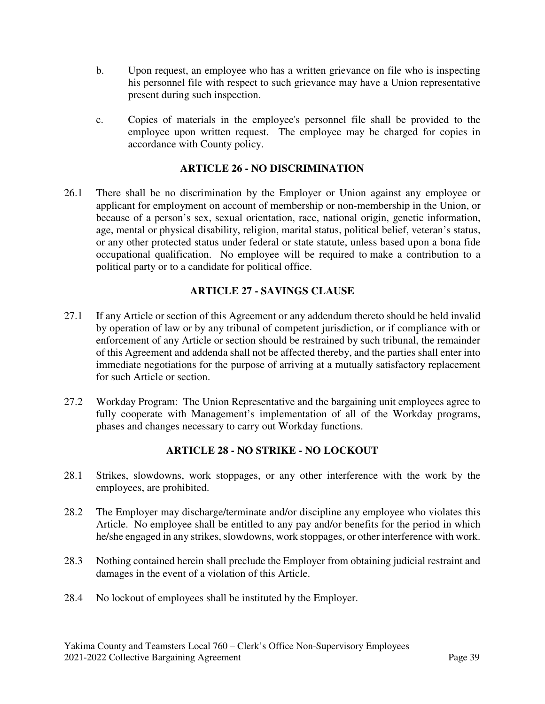- b. Upon request, an employee who has a written grievance on file who is inspecting his personnel file with respect to such grievance may have a Union representative present during such inspection.
- c. Copies of materials in the employee's personnel file shall be provided to the employee upon written request. The employee may be charged for copies in accordance with County policy.

## **ARTICLE 26 - NO DISCRIMINATION**

26.1 There shall be no discrimination by the Employer or Union against any employee or applicant for employment on account of membership or non-membership in the Union, or because of a person's sex, sexual orientation, race, national origin, genetic information, age, mental or physical disability, religion, marital status, political belief, veteran's status, or any other protected status under federal or state statute, unless based upon a bona fide occupational qualification. No employee will be required to make a contribution to a political party or to a candidate for political office.

# **ARTICLE 27 - SAVINGS CLAUSE**

- 27.1 If any Article or section of this Agreement or any addendum thereto should be held invalid by operation of law or by any tribunal of competent jurisdiction, or if compliance with or enforcement of any Article or section should be restrained by such tribunal, the remainder of this Agreement and addenda shall not be affected thereby, and the parties shall enter into immediate negotiations for the purpose of arriving at a mutually satisfactory replacement for such Article or section.
- 27.2 Workday Program: The Union Representative and the bargaining unit employees agree to fully cooperate with Management's implementation of all of the Workday programs, phases and changes necessary to carry out Workday functions.

# **ARTICLE 28 - NO STRIKE - NO LOCKOUT**

- 28.1 Strikes, slowdowns, work stoppages, or any other interference with the work by the employees, are prohibited.
- 28.2 The Employer may discharge/terminate and/or discipline any employee who violates this Article. No employee shall be entitled to any pay and/or benefits for the period in which he/she engaged in any strikes, slowdowns, work stoppages, or other interference with work.
- 28.3 Nothing contained herein shall preclude the Employer from obtaining judicial restraint and damages in the event of a violation of this Article.
- 28.4 No lockout of employees shall be instituted by the Employer.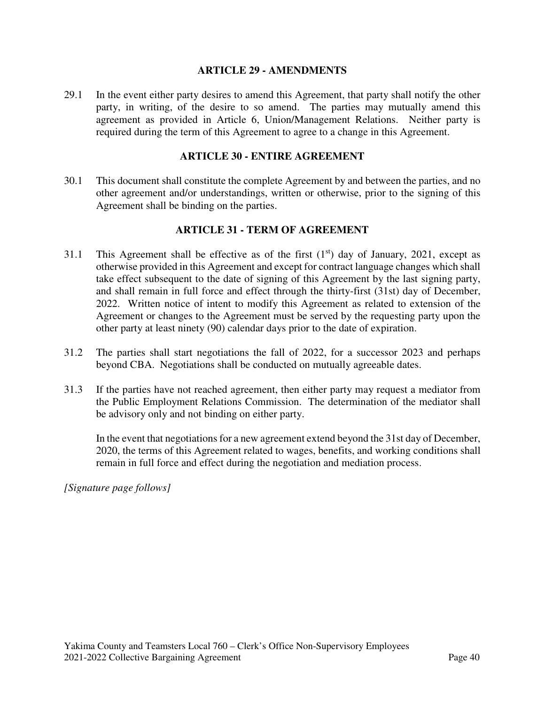#### **ARTICLE 29 - AMENDMENTS**

29.1 In the event either party desires to amend this Agreement, that party shall notify the other party, in writing, of the desire to so amend. The parties may mutually amend this agreement as provided in Article 6, Union/Management Relations. Neither party is required during the term of this Agreement to agree to a change in this Agreement.

#### **ARTICLE 30 - ENTIRE AGREEMENT**

30.1 This document shall constitute the complete Agreement by and between the parties, and no other agreement and/or understandings, written or otherwise, prior to the signing of this Agreement shall be binding on the parties.

## **ARTICLE 31 - TERM OF AGREEMENT**

- 31.1 This Agreement shall be effective as of the first  $(1<sup>st</sup>)$  day of January, 2021, except as otherwise provided in this Agreement and except for contract language changes which shall take effect subsequent to the date of signing of this Agreement by the last signing party, and shall remain in full force and effect through the thirty-first (31st) day of December, 2022. Written notice of intent to modify this Agreement as related to extension of the Agreement or changes to the Agreement must be served by the requesting party upon the other party at least ninety (90) calendar days prior to the date of expiration.
- 31.2 The parties shall start negotiations the fall of 2022, for a successor 2023 and perhaps beyond CBA. Negotiations shall be conducted on mutually agreeable dates.
- 31.3 If the parties have not reached agreement, then either party may request a mediator from the Public Employment Relations Commission. The determination of the mediator shall be advisory only and not binding on either party.

In the event that negotiations for a new agreement extend beyond the 31st day of December, 2020, the terms of this Agreement related to wages, benefits, and working conditions shall remain in full force and effect during the negotiation and mediation process.

*[Signature page follows]*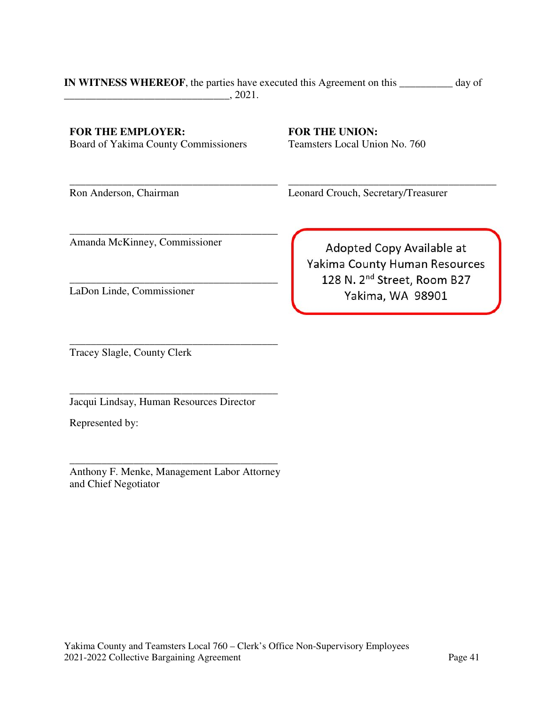#### **IN WITNESS WHEREOF**, the parties have executed this Agreement on this **\_\_\_\_\_\_\_\_\_\_** day of  $\frac{1}{2021}$ .

**FOR THE EMPLOYER:**  Board of Yakima County Commissioners

\_\_\_\_\_\_\_\_\_\_\_\_\_\_\_\_\_\_\_\_\_\_\_\_\_\_\_\_\_\_\_\_\_\_\_\_\_\_\_

\_\_\_\_\_\_\_\_\_\_\_\_\_\_\_\_\_\_\_\_\_\_\_\_\_\_\_\_\_\_\_\_\_\_\_\_\_\_\_

**FOR THE UNION:**  Teamsters Local Union No. 760

Ron Anderson, Chairman

Leonard Crouch, Secretary/Treasurer

Amanda McKinney, Commissioner

\_\_\_\_\_\_\_\_\_\_\_\_\_\_\_\_\_\_\_\_\_\_\_\_\_\_\_\_\_\_\_\_\_\_\_\_\_\_\_ LaDon Linde, Commissioner

Adopted Copy Available at Yakima County Human Resources 128 N. 2<sup>nd</sup> Street, Room B27 Yakima, WA 98901

\_\_\_\_\_\_\_\_\_\_\_\_\_\_\_\_\_\_\_\_\_\_\_\_\_\_\_\_\_\_\_\_\_\_\_\_\_\_\_

\_\_\_\_\_\_\_\_\_\_\_\_\_\_\_\_\_\_\_\_\_\_\_\_\_\_\_\_\_\_\_\_\_\_\_\_\_\_\_ Tracey Slagle, County Clerk

Jacqui Lindsay, Human Resources Director

\_\_\_\_\_\_\_\_\_\_\_\_\_\_\_\_\_\_\_\_\_\_\_\_\_\_\_\_\_\_\_\_\_\_\_\_\_\_\_

Represented by:

\_\_\_\_\_\_\_\_\_\_\_\_\_\_\_\_\_\_\_\_\_\_\_\_\_\_\_\_\_\_\_\_\_\_\_\_\_\_\_ Anthony F. Menke, Management Labor Attorney and Chief Negotiator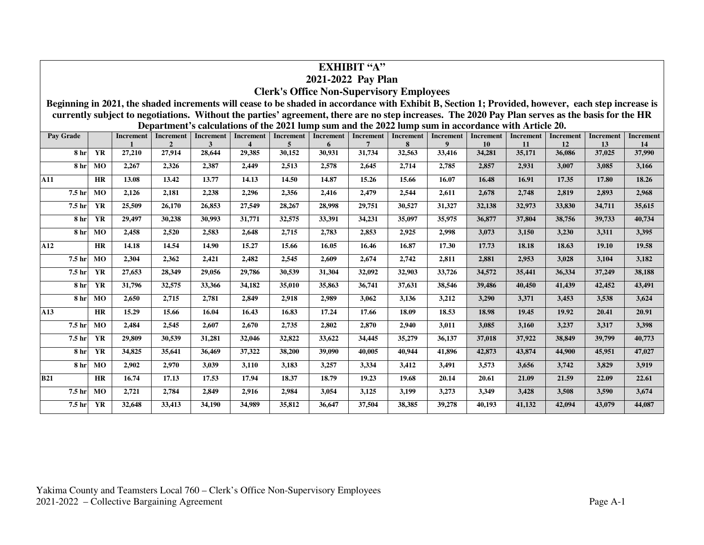| <b>EXHIBIT "A"</b>                                                                                                                                                                                                                                                                  |                 |                                  |  |                |        |        |        |        |        |        |        |           |        |        |        |        |
|-------------------------------------------------------------------------------------------------------------------------------------------------------------------------------------------------------------------------------------------------------------------------------------|-----------------|----------------------------------|--|----------------|--------|--------|--------|--------|--------|--------|--------|-----------|--------|--------|--------|--------|
| 2021-2022 Pay Plan                                                                                                                                                                                                                                                                  |                 |                                  |  |                |        |        |        |        |        |        |        |           |        |        |        |        |
| <b>Clerk's Office Non-Supervisory Employees</b>                                                                                                                                                                                                                                     |                 |                                  |  |                |        |        |        |        |        |        |        |           |        |        |        |        |
| Beginning in 2021, the shaded increments will cease to be shaded in accordance with Exhibit B, Section 1; Provided, however, each step increase is                                                                                                                                  |                 |                                  |  |                |        |        |        |        |        |        |        |           |        |        |        |        |
| currently subject to negotiations. Without the parties' agreement, there are no step increases. The 2020 Pay Plan serves as the basis for the HR<br>Department's calculations of the 2021 lump sum and the 2022 lump sum in accordance with Article 20.                             |                 |                                  |  |                |        |        |        |        |        |        |        |           |        |        |        |        |
| <b>Increment</b><br>Pay Grade<br><b>Increment</b><br><b>Increment</b><br><b>Increment</b><br><b>Increment</b><br><b>Increment</b><br><b>Increment</b><br>Increment<br><b>Increment</b><br>Increment<br><b>Increment</b><br><b>Increment</b><br><b>Increment</b><br><b>Increment</b> |                 |                                  |  |                |        |        |        |        |        |        |        |           |        |        |        |        |
|                                                                                                                                                                                                                                                                                     |                 |                                  |  | $\overline{2}$ | 3      |        | 5      | 6      | 7      | 8      | 9      | <b>10</b> | 11     | 12     | 13     | 14     |
|                                                                                                                                                                                                                                                                                     | 8 <sub>hr</sub> | <b>YR</b><br>27,210              |  | 27,914         | 28,644 | 29.385 | 30,152 | 30,931 | 31,734 | 32,563 | 33,416 | 34,281    | 35,171 | 36,086 | 37,025 | 37,990 |
|                                                                                                                                                                                                                                                                                     | 8 <sub>hr</sub> | 2,267<br>MO                      |  | 2,326          | 2,387  | 2,449  | 2,513  | 2,578  | 2.645  | 2,714  | 2,785  | 2,857     | 2,931  | 3,007  | 3,085  | 3,166  |
| A11                                                                                                                                                                                                                                                                                 |                 | HR<br>13.08                      |  | 13.42          | 13.77  | 14.13  | 14.50  | 14.87  | 15.26  | 15.66  | 16.07  | 16.48     | 16.91  | 17.35  | 17.80  | 18.26  |
| 7.5 hr                                                                                                                                                                                                                                                                              |                 | MO<br>2,126                      |  | 2,181          | 2,238  | 2,296  | 2,356  | 2,416  | 2,479  | 2,544  | 2,611  | 2,678     | 2,748  | 2,819  | 2,893  | 2,968  |
| 7.5 hr                                                                                                                                                                                                                                                                              |                 | $\overline{\text{YR}}$<br>25,509 |  | 26,170         | 26,853 | 27,549 | 28,267 | 28,998 | 29,751 | 30,527 | 31,327 | 32,138    | 32,973 | 33,830 | 34,711 | 35,615 |
|                                                                                                                                                                                                                                                                                     | 8 <sub>hr</sub> | $\overline{\text{YR}}$<br>29,497 |  | 30,238         | 30,993 | 31,771 | 32,575 | 33,391 | 34,231 | 35,097 | 35,975 | 36,877    | 37,804 | 38,756 | 39,733 | 40,734 |
|                                                                                                                                                                                                                                                                                     | 8 <sub>hr</sub> | <b>MO</b><br>2,458               |  | 2,520          | 2,583  | 2,648  | 2,715  | 2,783  | 2,853  | 2,925  | 2,998  | 3,073     | 3,150  | 3,230  | 3,311  | 3,395  |
| A12                                                                                                                                                                                                                                                                                 |                 | HR<br>14.18                      |  | 14.54          | 14.90  | 15.27  | 15.66  | 16.05  | 16.46  | 16.87  | 17.30  | 17.73     | 18.18  | 18.63  | 19.10  | 19.58  |
| 7.5 hr                                                                                                                                                                                                                                                                              |                 | M <sub>0</sub><br>2,304          |  | 2,362          | 2,421  | 2,482  | 2,545  | 2,609  | 2,674  | 2,742  | 2,811  | 2,881     | 2,953  | 3,028  | 3,104  | 3,182  |
| 7.5 hr                                                                                                                                                                                                                                                                              |                 | <b>YR</b><br>27,653              |  | 28,349         | 29,056 | 29,786 | 30,539 | 31,304 | 32,092 | 32,903 | 33,726 | 34,572    | 35,441 | 36,334 | 37,249 | 38,188 |
|                                                                                                                                                                                                                                                                                     | 8 <sub>hr</sub> | <b>YR</b><br>31,796              |  | 32,575         | 33,366 | 34,182 | 35,010 | 35,863 | 36,741 | 37.631 | 38,546 | 39,486    | 40,450 | 41,439 | 42,452 | 43,491 |
|                                                                                                                                                                                                                                                                                     | 8 <sub>hr</sub> | MO<br>2,650                      |  | 2,715          | 2,781  | 2,849  | 2,918  | 2,989  | 3,062  | 3,136  | 3,212  | 3,290     | 3,371  | 3,453  | 3,538  | 3,624  |
| A13                                                                                                                                                                                                                                                                                 |                 | $\overline{\text{HR}}$<br>15.29  |  | 15.66          | 16.04  | 16.43  | 16.83  | 17.24  | 17.66  | 18.09  | 18.53  | 18.98     | 19.45  | 19.92  | 20.41  | 20.91  |
| 7.5 hr                                                                                                                                                                                                                                                                              |                 | <b>MO</b><br>2,484               |  | 2,545          | 2,607  | 2,670  | 2,735  | 2,802  | 2,870  | 2,940  | 3,011  | 3,085     | 3,160  | 3,237  | 3,317  | 3,398  |
| 7.5 hr                                                                                                                                                                                                                                                                              |                 | <b>YR</b><br>29,809              |  | 30,539         | 31,281 | 32,046 | 32,822 | 33,622 | 34,445 | 35,279 | 36,137 | 37,018    | 37,922 | 38,849 | 39,799 | 40,773 |
|                                                                                                                                                                                                                                                                                     | 8 <sub>hr</sub> | YR<br>34,825                     |  | 35,641         | 36,469 | 37,322 | 38,200 | 39,090 | 40,005 | 40.944 | 41,896 | 42,873    | 43,874 | 44,900 | 45,951 | 47,027 |
|                                                                                                                                                                                                                                                                                     | <b>8</b> hr     | MO<br>2,902                      |  | 2,970          | 3,039  | 3,110  | 3,183  | 3,257  | 3,334  | 3,412  | 3,491  | 3,573     | 3,656  | 3,742  | 3,829  | 3,919  |
| <b>B21</b>                                                                                                                                                                                                                                                                          |                 | HR<br>16.74                      |  | 17.13          | 17.53  | 17.94  | 18.37  | 18.79  | 19.23  | 19.68  | 20.14  | 20.61     | 21.09  | 21.59  | 22.09  | 22.61  |
| 7.5 hr                                                                                                                                                                                                                                                                              |                 | <b>MO</b><br>2,721               |  | 2,784          | 2,849  | 2,916  | 2,984  | 3,054  | 3,125  | 3,199  | 3,273  | 3,349     | 3,428  | 3,508  | 3,590  | 3,674  |
| 7.5 <sub>hr</sub>                                                                                                                                                                                                                                                                   |                 | <b>YR</b><br>32,648              |  | 33,413         | 34,190 | 34,989 | 35,812 | 36,647 | 37,504 | 38,385 | 39,278 | 40,193    | 41,132 | 42,094 | 43,079 | 44,087 |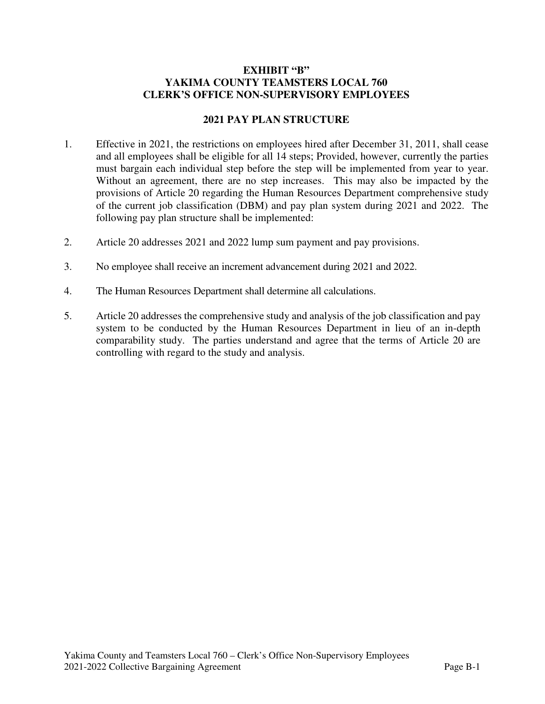#### **EXHIBIT "B" YAKIMA COUNTY TEAMSTERS LOCAL 760 CLERK'S OFFICE NON-SUPERVISORY EMPLOYEES**

#### **2021 PAY PLAN STRUCTURE**

- 1. Effective in 2021, the restrictions on employees hired after December 31, 2011, shall cease and all employees shall be eligible for all 14 steps; Provided, however, currently the parties must bargain each individual step before the step will be implemented from year to year. Without an agreement, there are no step increases. This may also be impacted by the provisions of Article 20 regarding the Human Resources Department comprehensive study of the current job classification (DBM) and pay plan system during 2021 and 2022. The following pay plan structure shall be implemented:
- 2. Article 20 addresses 2021 and 2022 lump sum payment and pay provisions.
- 3. No employee shall receive an increment advancement during 2021 and 2022.
- 4. The Human Resources Department shall determine all calculations.
- 5. Article 20 addresses the comprehensive study and analysis of the job classification and pay system to be conducted by the Human Resources Department in lieu of an in-depth comparability study. The parties understand and agree that the terms of Article 20 are controlling with regard to the study and analysis.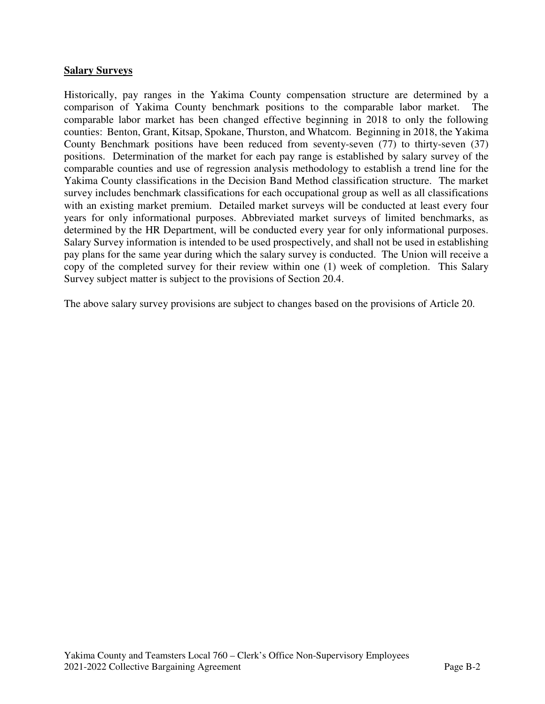#### **Salary Surveys**

Historically, pay ranges in the Yakima County compensation structure are determined by a comparison of Yakima County benchmark positions to the comparable labor market. The comparable labor market has been changed effective beginning in 2018 to only the following counties: Benton, Grant, Kitsap, Spokane, Thurston, and Whatcom. Beginning in 2018, the Yakima County Benchmark positions have been reduced from seventy-seven (77) to thirty-seven (37) positions. Determination of the market for each pay range is established by salary survey of the comparable counties and use of regression analysis methodology to establish a trend line for the Yakima County classifications in the Decision Band Method classification structure. The market survey includes benchmark classifications for each occupational group as well as all classifications with an existing market premium. Detailed market surveys will be conducted at least every four years for only informational purposes. Abbreviated market surveys of limited benchmarks, as determined by the HR Department, will be conducted every year for only informational purposes. Salary Survey information is intended to be used prospectively, and shall not be used in establishing pay plans for the same year during which the salary survey is conducted. The Union will receive a copy of the completed survey for their review within one (1) week of completion. This Salary Survey subject matter is subject to the provisions of Section 20.4.

The above salary survey provisions are subject to changes based on the provisions of Article 20.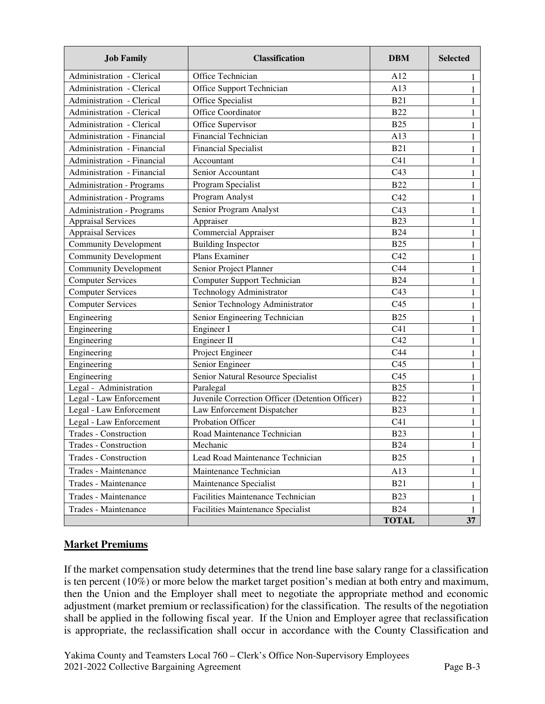| <b>Job Family</b>                | <b>Classification</b>                           | <b>DBM</b>      | <b>Selected</b> |  |  |
|----------------------------------|-------------------------------------------------|-----------------|-----------------|--|--|
| Administration - Clerical        | Office Technician                               | A12             | 1               |  |  |
| Administration - Clerical        | Office Support Technician                       | A13             | $\mathbf{1}$    |  |  |
| Administration - Clerical        | Office Specialist                               | <b>B21</b>      | 1               |  |  |
| Administration - Clerical        | Office Coordinator                              | <b>B22</b>      | $\mathbf{1}$    |  |  |
| Administration - Clerical        | Office Supervisor                               | <b>B25</b>      | 1               |  |  |
| Administration - Financial       | <b>Financial Technician</b>                     | A13             | $\mathbf{1}$    |  |  |
| Administration - Financial       | <b>Financial Specialist</b>                     | <b>B21</b>      | $\mathbf{1}$    |  |  |
| Administration - Financial       | Accountant                                      | C <sub>41</sub> | $\mathbf{1}$    |  |  |
| Administration - Financial       | Senior Accountant                               | C43             | $\mathbf{1}$    |  |  |
| <b>Administration - Programs</b> | Program Specialist                              | <b>B22</b>      | 1               |  |  |
| <b>Administration - Programs</b> | Program Analyst                                 | C42             | $\mathbf{1}$    |  |  |
| <b>Administration - Programs</b> | Senior Program Analyst                          | C43             | $\mathbf{1}$    |  |  |
| <b>Appraisal Services</b>        | Appraiser                                       | <b>B23</b>      | $\mathbf{1}$    |  |  |
| <b>Appraisal Services</b>        | <b>Commercial Appraiser</b>                     | <b>B24</b>      | 1               |  |  |
| <b>Community Development</b>     | <b>Building Inspector</b>                       | <b>B25</b>      | 1               |  |  |
| <b>Community Development</b>     | Plans Examiner                                  | C42             | 1               |  |  |
| <b>Community Development</b>     | Senior Project Planner                          | C44             | $\mathbf{1}$    |  |  |
| <b>Computer Services</b>         | Computer Support Technician                     | <b>B24</b>      | $\mathbf{1}$    |  |  |
| <b>Computer Services</b>         | Technology Administrator                        | C43             | 1               |  |  |
| <b>Computer Services</b>         | Senior Technology Administrator                 | C <sub>45</sub> | 1               |  |  |
| Engineering                      | Senior Engineering Technician                   | <b>B25</b>      | 1               |  |  |
| Engineering                      | Engineer I                                      | C <sub>41</sub> | 1               |  |  |
| Engineering                      | Engineer II                                     | C42             | 1               |  |  |
| Engineering                      | Project Engineer                                | C44             | 1               |  |  |
| Engineering                      | Senior Engineer                                 | C <sub>45</sub> | 1               |  |  |
| Engineering                      | Senior Natural Resource Specialist              | C <sub>45</sub> |                 |  |  |
| Legal - Administration           | Paralegal                                       | <b>B25</b>      | 1               |  |  |
| Legal - Law Enforcement          | Juvenile Correction Officer (Detention Officer) | <b>B22</b>      | 1               |  |  |
| Legal - Law Enforcement          | Law Enforcement Dispatcher                      | <b>B23</b>      | 1               |  |  |
| Legal - Law Enforcement          | Probation Officer                               | C <sub>41</sub> | 1               |  |  |
| <b>Trades - Construction</b>     | Road Maintenance Technician                     | <b>B23</b>      | $\mathbf{1}$    |  |  |
| Trades - Construction            | Mechanic                                        | <b>B24</b>      | $\mathbf{1}$    |  |  |
| Trades - Construction            | Lead Road Maintenance Technician                | <b>B25</b>      | 1               |  |  |
| Trades - Maintenance             | Maintenance Technician                          | A13             | 1               |  |  |
| Trades - Maintenance             | Maintenance Specialist                          | <b>B21</b>      | 1               |  |  |
| Trades - Maintenance             | Facilities Maintenance Technician               | <b>B23</b>      | 1               |  |  |
| Trades - Maintenance             | <b>Facilities Maintenance Specialist</b>        | <b>B24</b>      | $\mathbf{1}$    |  |  |
|                                  |                                                 | <b>TOTAL</b>    | 37              |  |  |

# **Market Premiums**

If the market compensation study determines that the trend line base salary range for a classification is ten percent (10%) or more below the market target position's median at both entry and maximum, then the Union and the Employer shall meet to negotiate the appropriate method and economic adjustment (market premium or reclassification) for the classification. The results of the negotiation shall be applied in the following fiscal year. If the Union and Employer agree that reclassification is appropriate, the reclassification shall occur in accordance with the County Classification and